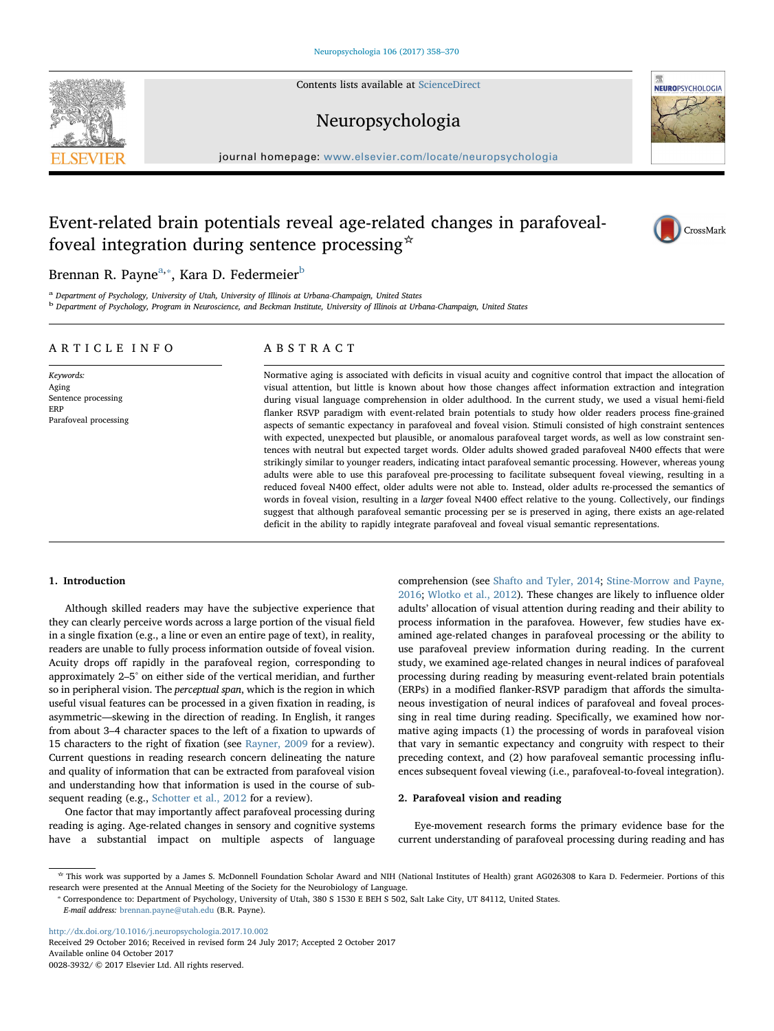Contents lists available at [ScienceDirect](http://www.sciencedirect.com/science/journal/00283932)



# Neuropsychologia

journal homepage: [www.elsevier.com/locate/neuropsychologia](https://www.elsevier.com/locate/neuropsychologia)

# Event-related brain potentials reveal age-related changes in parafovealfoveal integration during sentence processing  $\dot{\mathbf{x}}$



# Brennan R. Payne<sup>[a,](#page-0-0)</sup>\*, Kara D. Federmeier<sup>b</sup>

<span id="page-0-0"></span><sup>a</sup> Department of Psychology, University of Utah, University of Illinois at Urbana-Champaign, United States

<span id="page-0-2"></span>**b** Department of Psychology, Program in Neuroscience, and Beckman Institute, University of Illinois at Urbana-Champaign, United States

# ARTICLE INFO

Keywords: Aging Sentence processing ERP Parafoveal processing

# ABSTRACT

Normative aging is associated with deficits in visual acuity and cognitive control that impact the allocation of visual attention, but little is known about how those changes affect information extraction and integration during visual language comprehension in older adulthood. In the current study, we used a visual hemi-field flanker RSVP paradigm with event-related brain potentials to study how older readers process fine-grained aspects of semantic expectancy in parafoveal and foveal vision. Stimuli consisted of high constraint sentences with expected, unexpected but plausible, or anomalous parafoveal target words, as well as low constraint sentences with neutral but expected target words. Older adults showed graded parafoveal N400 effects that were strikingly similar to younger readers, indicating intact parafoveal semantic processing. However, whereas young adults were able to use this parafoveal pre-processing to facilitate subsequent foveal viewing, resulting in a reduced foveal N400 effect, older adults were not able to. Instead, older adults re-processed the semantics of words in foveal vision, resulting in a larger foveal N400 effect relative to the young. Collectively, our findings suggest that although parafoveal semantic processing per se is preserved in aging, there exists an age-related deficit in the ability to rapidly integrate parafoveal and foveal visual semantic representations.

# 1. Introduction

Although skilled readers may have the subjective experience that they can clearly perceive words across a large portion of the visual field in a single fixation (e.g., a line or even an entire page of text), in reality, readers are unable to fully process information outside of foveal vision. Acuity drops off rapidly in the parafoveal region, corresponding to approximately 2–5° on either side of the vertical meridian, and further so in peripheral vision. The perceptual span, which is the region in which useful visual features can be processed in a given fixation in reading, is asymmetric—skewing in the direction of reading. In English, it ranges from about 3–4 character spaces to the left of a fixation to upwards of 15 characters to the right of fixation (see [Rayner, 2009](#page-12-0) for a review). Current questions in reading research concern delineating the nature and quality of information that can be extracted from parafoveal vision and understanding how that information is used in the course of subsequent reading (e.g., [Schotter et al., 2012](#page-12-1) for a review).

One factor that may importantly affect parafoveal processing during reading is aging. Age-related changes in sensory and cognitive systems have a substantial impact on multiple aspects of language

comprehension (see [Shafto and Tyler, 2014](#page-12-2); [Stine-Morrow and Payne,](#page-12-3) [2016;](#page-12-3) [Wlotko et al., 2012\)](#page-12-4). These changes are likely to influence older adults' allocation of visual attention during reading and their ability to process information in the parafovea. However, few studies have examined age-related changes in parafoveal processing or the ability to use parafoveal preview information during reading. In the current study, we examined age-related changes in neural indices of parafoveal processing during reading by measuring event-related brain potentials (ERPs) in a modified flanker-RSVP paradigm that affords the simultaneous investigation of neural indices of parafoveal and foveal processing in real time during reading. Specifically, we examined how normative aging impacts (1) the processing of words in parafoveal vision that vary in semantic expectancy and congruity with respect to their preceding context, and (2) how parafoveal semantic processing influences subsequent foveal viewing (i.e., parafoveal-to-foveal integration).

### 2. Parafoveal vision and reading

Eye-movement research forms the primary evidence base for the current understanding of parafoveal processing during reading and has

<http://dx.doi.org/10.1016/j.neuropsychologia.2017.10.002>

Received 29 October 2016; Received in revised form 24 July 2017; Accepted 2 October 2017 Available online 04 October 2017

0028-3932/ © 2017 Elsevier Ltd. All rights reserved.

<sup>☆</sup> This work was supported by a James S. McDonnell Foundation Scholar Award and NIH (National Institutes of Health) grant AG026308 to Kara D. Federmeier. Portions of this research were presented at the Annual Meeting of the Society for the Neurobiology of Language.<br>\* Correspondence to: Department of Psychology, University of Utah, 380 S 1530 E BEH S 502, Salt Lake City, UT 84112, United Sta

<span id="page-0-1"></span>E-mail address: [brennan.payne@utah.edu](mailto:brennan.payne@utah.edu) (B.R. Payne).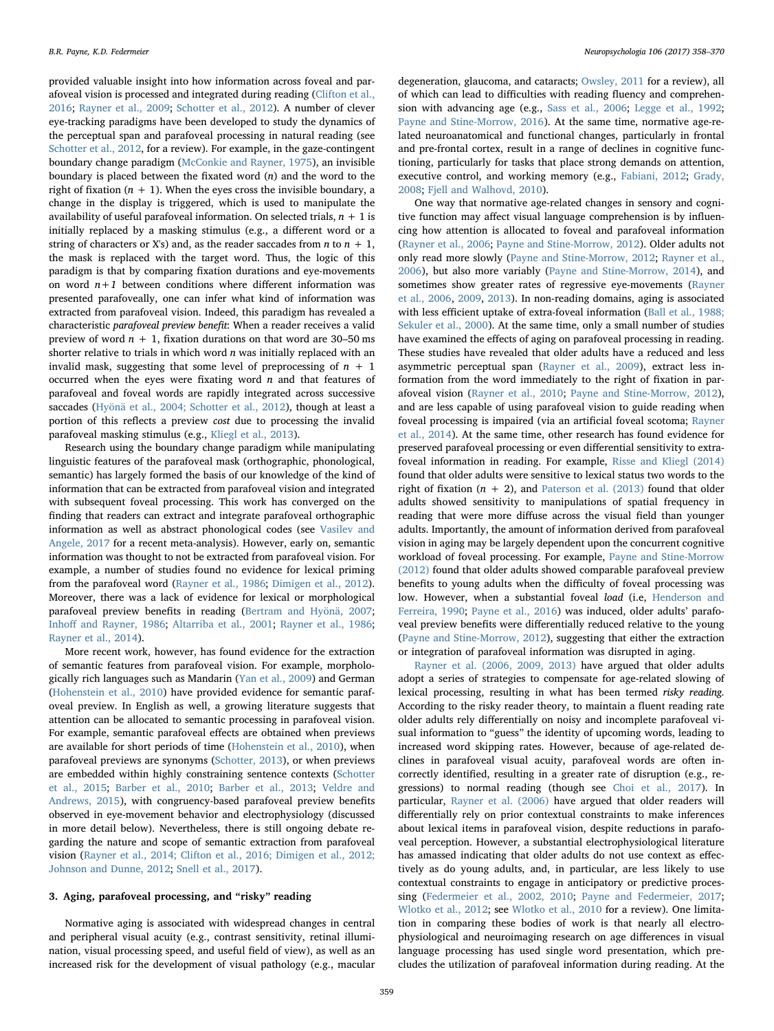provided valuable insight into how information across foveal and parafoveal vision is processed and integrated during reading [\(Clifton et al.,](#page-11-0) [2016;](#page-11-0) [Rayner et al., 2009;](#page-12-5) [Schotter et al., 2012](#page-12-1)). A number of clever eye-tracking paradigms have been developed to study the dynamics of the perceptual span and parafoveal processing in natural reading (see [Schotter et al., 2012,](#page-12-1) for a review). For example, in the gaze-contingent boundary change paradigm ([McConkie and Rayner, 1975](#page-12-6)), an invisible boundary is placed between the fixated word  $(n)$  and the word to the right of fixation  $(n + 1)$ . When the eyes cross the invisible boundary, a change in the display is triggered, which is used to manipulate the availability of useful parafoveal information. On selected trials,  $n + 1$  is initially replaced by a masking stimulus (e.g., a different word or a string of characters or X's) and, as the reader saccades from *n* to  $n + 1$ . the mask is replaced with the target word. Thus, the logic of this paradigm is that by comparing fixation durations and eye-movements on word  $n+1$  between conditions where different information was presented parafoveally, one can infer what kind of information was extracted from parafoveal vision. Indeed, this paradigm has revealed a characteristic parafoveal preview benefit: When a reader receives a valid preview of word  $n + 1$ , fixation durations on that word are 30–50 ms shorter relative to trials in which word  $n$  was initially replaced with an invalid mask, suggesting that some level of preprocessing of  $n + 1$ occurred when the eyes were fixating word  $n$  and that features of parafoveal and foveal words are rapidly integrated across successive saccades ([Hyönä et al., 2004; Schotter et al., 2012\)](#page-11-1), though at least a portion of this reflects a preview cost due to processing the invalid parafoveal masking stimulus (e.g., [Kliegl et al., 2013\)](#page-11-2).

Research using the boundary change paradigm while manipulating linguistic features of the parafoveal mask (orthographic, phonological, semantic) has largely formed the basis of our knowledge of the kind of information that can be extracted from parafoveal vision and integrated with subsequent foveal processing. This work has converged on the finding that readers can extract and integrate parafoveal orthographic information as well as abstract phonological codes (see [Vasilev and](#page-12-7) [Angele, 2017](#page-12-7) for a recent meta-analysis). However, early on, semantic information was thought to not be extracted from parafoveal vision. For example, a number of studies found no evidence for lexical priming from the parafoveal word [\(Rayner et al., 1986](#page-12-8); [Dimigen et al., 2012](#page-11-3)). Moreover, there was a lack of evidence for lexical or morphological parafoveal preview benefits in reading ([Bertram and Hyönä, 2007](#page-11-4); Inhoff [and Rayner, 1986](#page-11-5); [Altarriba et al., 2001](#page-11-6); [Rayner et al., 1986](#page-12-8); [Rayner et al., 2014](#page-12-9)).

More recent work, however, has found evidence for the extraction of semantic features from parafoveal vision. For example, morphologically rich languages such as Mandarin [\(Yan et al., 2009](#page-12-10)) and German ([Hohenstein et al., 2010](#page-11-7)) have provided evidence for semantic parafoveal preview. In English as well, a growing literature suggests that attention can be allocated to semantic processing in parafoveal vision. For example, semantic parafoveal effects are obtained when previews are available for short periods of time [\(Hohenstein et al., 2010\)](#page-11-7), when parafoveal previews are synonyms ([Schotter, 2013\)](#page-12-11), or when previews are embedded within highly constraining sentence contexts [\(Schotter](#page-12-12) [et al., 2015](#page-12-12); [Barber et al., 2010;](#page-11-8) [Barber et al., 2013](#page-11-9); [Veldre and](#page-12-13) [Andrews, 2015](#page-12-13)), with congruency-based parafoveal preview benefits observed in eye-movement behavior and electrophysiology (discussed in more detail below). Nevertheless, there is still ongoing debate regarding the nature and scope of semantic extraction from parafoveal vision ([Rayner et al., 2014; Clifton et al., 2016; Dimigen et al., 2012;](#page-11-0) [Johnson and Dunne, 2012](#page-11-0); [Snell et al., 2017\)](#page-12-14).

#### 3. Aging, parafoveal processing, and "risky" reading

Normative aging is associated with widespread changes in central and peripheral visual acuity (e.g., contrast sensitivity, retinal illumination, visual processing speed, and useful field of view), as well as an increased risk for the development of visual pathology (e.g., macular

degeneration, glaucoma, and cataracts; [Owsley, 2011](#page-12-15) for a review), all of which can lead to difficulties with reading fluency and comprehension with advancing age (e.g., [Sass et al., 2006;](#page-12-16) [Legge et al., 1992](#page-11-10); [Payne and Stine-Morrow, 2016\)](#page-12-17). At the same time, normative age-related neuroanatomical and functional changes, particularly in frontal and pre-frontal cortex, result in a range of declines in cognitive functioning, particularly for tasks that place strong demands on attention, executive control, and working memory (e.g., [Fabiani, 2012](#page-11-11); [Grady,](#page-11-12) [2008;](#page-11-12) [Fjell and Walhovd, 2010](#page-11-13)).

One way that normative age-related changes in sensory and cognitive function may affect visual language comprehension is by influencing how attention is allocated to foveal and parafoveal information (Rayner [et al., 2006](#page-12-18); [Payne and Stine-Morrow, 2012](#page-12-19)). Older adults not only read more slowly ([Payne and Stine-Morrow, 2012](#page-12-19); [Rayner et al.,](#page-12-18) [2006\)](#page-12-18), but also more variably ([Payne and Stine-Morrow, 2014\)](#page-12-20), and sometimes show greater rates of regressive eye-movements ([Rayner](#page-12-18) [et al., 2006,](#page-12-18) [2009](#page-12-5), [2013](#page-12-21)). In non-reading domains, aging is associated with less efficient uptake of extra-foveal information ([Ball et al., 1988;](#page-11-14) [Sekuler et al., 2000\)](#page-11-14). At the same time, only a small number of studies have examined the effects of aging on parafoveal processing in reading. These studies have revealed that older adults have a reduced and less asymmetric perceptual span ([Rayner et al., 2009](#page-12-5)), extract less information from the word immediately to the right of fixation in parafoveal vision ([Rayner et al., 2010;](#page-12-22) [Payne and Stine-Morrow, 2012](#page-12-19)), and are less capable of using parafoveal vision to guide reading when foveal processing is impaired (via an artificial foveal scotoma; [Rayner](#page-12-9) [et al., 2014\)](#page-12-9). At the same time, other research has found evidence for preserved parafoveal processing or even differential sensitivity to extrafoveal information in reading. For example, [Risse and Kliegl \(2014\)](#page-12-23) found that older adults were sensitive to lexical status two words to the right of fixation  $(n + 2)$ , and [Paterson et al. \(2013\)](#page-12-24) found that older adults showed sensitivity to manipulations of spatial frequency in reading that were more diffuse across the visual field than younger adults. Importantly, the amount of information derived from parafoveal vision in aging may be largely dependent upon the concurrent cognitive workload of foveal processing. For example, [Payne and Stine-Morrow](#page-12-19) [\(2012\)](#page-12-19) found that older adults showed comparable parafoveal preview benefits to young adults when the difficulty of foveal processing was low. However, when a substantial foveal load (i.e, [Henderson and](#page-11-15) [Ferreira, 1990;](#page-11-15) [Payne et al., 2016\)](#page-12-25) was induced, older adults' parafoveal preview benefits were differentially reduced relative to the young ([Payne and Stine-Morrow, 2012\)](#page-12-19), suggesting that either the extraction or integration of parafoveal information was disrupted in aging.

[Rayner et al. \(2006, 2009, 2013\)](#page-12-0) have argued that older adults adopt a series of strategies to compensate for age-related slowing of lexical processing, resulting in what has been termed risky reading. According to the risky reader theory, to maintain a fluent reading rate older adults rely differentially on noisy and incomplete parafoveal visual information to "guess" the identity of upcoming words, leading to increased word skipping rates. However, because of age-related declines in parafoveal visual acuity, parafoveal words are often incorrectly identified, resulting in a greater rate of disruption (e.g., regressions) to normal reading (though see [Choi et al., 2017\)](#page-11-16). In particular, [Rayner et al. \(2006\)](#page-12-18) have argued that older readers will differentially rely on prior contextual constraints to make inferences about lexical items in parafoveal vision, despite reductions in parafoveal perception. However, a substantial electrophysiological literature has amassed indicating that older adults do not use context as effectively as do young adults, and, in particular, are less likely to use contextual constraints to engage in anticipatory or predictive processing [\(Federmeier et al., 2002, 2010](#page-11-17); [Payne and Federmeier, 2017](#page-12-26); [Wlotko et al., 2012;](#page-12-4) see [Wlotko et al., 2010](#page-12-27) for a review). One limitation in comparing these bodies of work is that nearly all electrophysiological and neuroimaging research on age differences in visual language processing has used single word presentation, which precludes the utilization of parafoveal information during reading. At the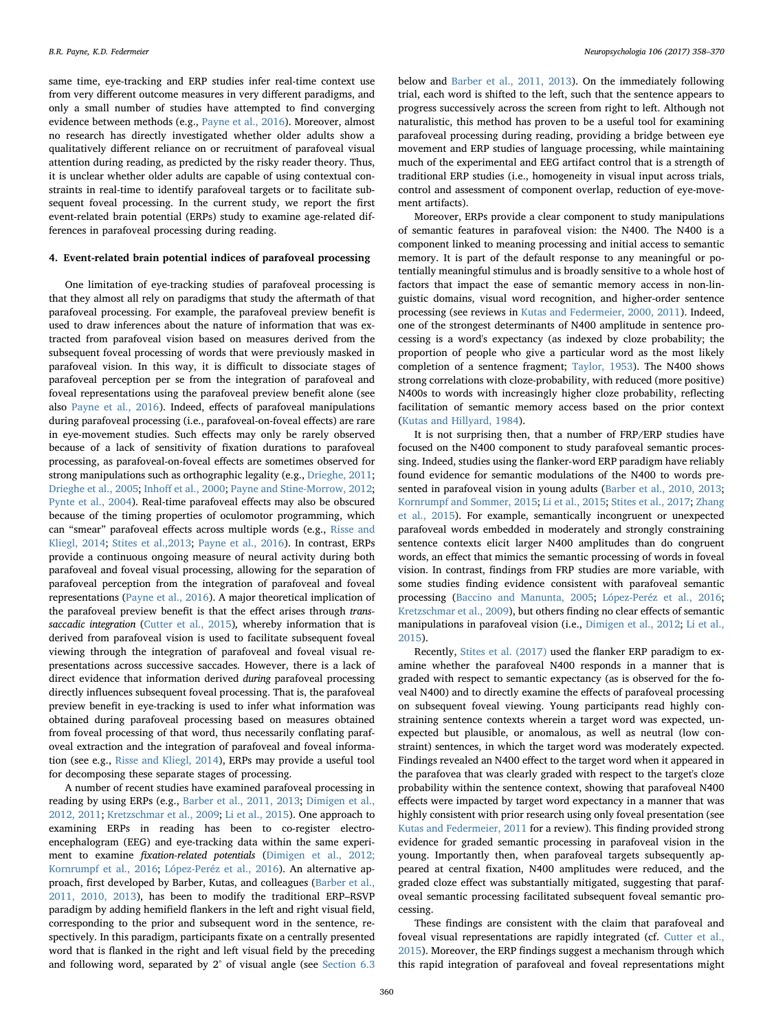same time, eye-tracking and ERP studies infer real-time context use from very different outcome measures in very different paradigms, and only a small number of studies have attempted to find converging evidence between methods (e.g., [Payne et al., 2016](#page-12-25)). Moreover, almost no research has directly investigated whether older adults show a qualitatively different reliance on or recruitment of parafoveal visual attention during reading, as predicted by the risky reader theory. Thus, it is unclear whether older adults are capable of using contextual constraints in real-time to identify parafoveal targets or to facilitate subsequent foveal processing. In the current study, we report the first event-related brain potential (ERPs) study to examine age-related differences in parafoveal processing during reading.

# 4. Event-related brain potential indices of parafoveal processing

One limitation of eye-tracking studies of parafoveal processing is that they almost all rely on paradigms that study the aftermath of that parafoveal processing. For example, the parafoveal preview benefit is used to draw inferences about the nature of information that was extracted from parafoveal vision based on measures derived from the subsequent foveal processing of words that were previously masked in parafoveal vision. In this way, it is difficult to dissociate stages of parafoveal perception per se from the integration of parafoveal and foveal representations using the parafoveal preview benefit alone (see also [Payne et al., 2016\)](#page-12-25). Indeed, effects of parafoveal manipulations during parafoveal processing (i.e., parafoveal-on-foveal effects) are rare in eye-movement studies. Such effects may only be rarely observed because of a lack of sensitivity of fixation durations to parafoveal processing, as parafoveal-on-foveal effects are sometimes observed for strong manipulations such as orthographic legality (e.g., [Drieghe, 2011](#page-11-18); [Drieghe et al., 2005;](#page-11-19) Inhoff [et al., 2000](#page-11-20); [Payne and Stine-Morrow, 2012](#page-12-19); [Pynte et al., 2004](#page-12-28)). Real-time parafoveal effects may also be obscured because of the timing properties of oculomotor programming, which can "smear" parafoveal effects across multiple words (e.g., [Risse and](#page-12-23) [Kliegl, 2014](#page-12-23); [Stites et al.,2013](#page-12-29); [Payne et al., 2016\)](#page-12-25). In contrast, ERPs provide a continuous ongoing measure of neural activity during both parafoveal and foveal visual processing, allowing for the separation of parafoveal perception from the integration of parafoveal and foveal representations ([Payne et al., 2016\)](#page-12-25). A major theoretical implication of the parafoveal preview benefit is that the effect arises through trans-saccadic integration ([Cutter et al., 2015](#page-11-21)), whereby information that is derived from parafoveal vision is used to facilitate subsequent foveal viewing through the integration of parafoveal and foveal visual representations across successive saccades. However, there is a lack of direct evidence that information derived during parafoveal processing directly influences subsequent foveal processing. That is, the parafoveal preview benefit in eye-tracking is used to infer what information was obtained during parafoveal processing based on measures obtained from foveal processing of that word, thus necessarily conflating parafoveal extraction and the integration of parafoveal and foveal information (see e.g., [Risse and Kliegl, 2014](#page-12-23)), ERPs may provide a useful tool for decomposing these separate stages of processing.

A number of recent studies have examined parafoveal processing in reading by using ERPs (e.g., [Barber et al., 2011, 2013;](#page-11-9) [Dimigen et al.,](#page-11-3) [2012, 2011](#page-11-3); [Kretzschmar et al., 2009;](#page-11-22) [Li et al., 2015](#page-11-23)). One approach to examining ERPs in reading has been to co-register electroencephalogram (EEG) and eye-tracking data within the same experiment to examine fixation-related potentials [\(Dimigen et al., 2012;](#page-11-24) [Kornrumpf et al., 2016](#page-11-24); [López-Peréz et al., 2016\)](#page-11-25). An alternative approach, first developed by Barber, Kutas, and colleagues ([Barber et al.,](#page-11-8) [2011, 2010, 2013](#page-11-8)), has been to modify the traditional ERP–RSVP paradigm by adding hemifield flankers in the left and right visual field, corresponding to the prior and subsequent word in the sentence, respectively. In this paradigm, participants fixate on a centrally presented word that is flanked in the right and left visual field by the preceding and following word, separated by 2° of visual angle (see [Section 6.3](#page-4-0) below and [Barber et al., 2011, 2013](#page-11-8)). On the immediately following trial, each word is shifted to the left, such that the sentence appears to progress successively across the screen from right to left. Although not naturalistic, this method has proven to be a useful tool for examining parafoveal processing during reading, providing a bridge between eye movement and ERP studies of language processing, while maintaining much of the experimental and EEG artifact control that is a strength of traditional ERP studies (i.e., homogeneity in visual input across trials, control and assessment of component overlap, reduction of eye-movement artifacts).

Moreover, ERPs provide a clear component to study manipulations of semantic features in parafoveal vision: the N400. The N400 is a component linked to meaning processing and initial access to semantic memory. It is part of the default response to any meaningful or potentially meaningful stimulus and is broadly sensitive to a whole host of factors that impact the ease of semantic memory access in non-linguistic domains, visual word recognition, and higher-order sentence processing (see reviews in [Kutas and Federmeier, 2000, 2011\)](#page-11-26). Indeed, one of the strongest determinants of N400 amplitude in sentence processing is a word's expectancy (as indexed by cloze probability; the proportion of people who give a particular word as the most likely completion of a sentence fragment; [Taylor, 1953](#page-12-30)). The N400 shows strong correlations with cloze-probability, with reduced (more positive) N400s to words with increasingly higher cloze probability, reflecting facilitation of semantic memory access based on the prior context ([Kutas and Hillyard, 1984](#page-11-27)).

It is not surprising then, that a number of FRP/ERP studies have focused on the N400 component to study parafoveal semantic processing. Indeed, studies using the flanker-word ERP paradigm have reliably found evidence for semantic modulations of the N400 to words presented in parafoveal vision in young adults ([Barber et al., 2010, 2013](#page-11-9); [Kornrumpf and Sommer, 2015;](#page-11-28) [Li et al., 2015](#page-11-23); [Stites et al., 2017](#page-12-31); [Zhang](#page-12-32) [et al., 2015](#page-12-32)). For example, semantically incongruent or unexpected parafoveal words embedded in moderately and strongly constraining sentence contexts elicit larger N400 amplitudes than do congruent words, an effect that mimics the semantic processing of words in foveal vision. In contrast, findings from FRP studies are more variable, with some studies finding evidence consistent with parafoveal semantic processing [\(Baccino and Manunta, 2005](#page-11-29); [López-Peréz et al., 2016](#page-11-25); [Kretzschmar et al., 2009\)](#page-11-22), but others finding no clear effects of semantic manipulations in parafoveal vision (i.e., [Dimigen et al., 2012;](#page-11-3) [Li et al.,](#page-11-23) [2015\)](#page-11-23).

Recently, [Stites et al. \(2017\)](#page-12-31) used the flanker ERP paradigm to examine whether the parafoveal N400 responds in a manner that is graded with respect to semantic expectancy (as is observed for the foveal N400) and to directly examine the effects of parafoveal processing on subsequent foveal viewing. Young participants read highly constraining sentence contexts wherein a target word was expected, unexpected but plausible, or anomalous, as well as neutral (low constraint) sentences, in which the target word was moderately expected. Findings revealed an N400 effect to the target word when it appeared in the parafovea that was clearly graded with respect to the target's cloze probability within the sentence context, showing that parafoveal N400 effects were impacted by target word expectancy in a manner that was highly consistent with prior research using only foveal presentation (see [Kutas and Federmeier, 2011](#page-11-30) for a review). This finding provided strong evidence for graded semantic processing in parafoveal vision in the young. Importantly then, when parafoveal targets subsequently appeared at central fixation, N400 amplitudes were reduced, and the graded cloze effect was substantially mitigated, suggesting that parafoveal semantic processing facilitated subsequent foveal semantic processing.

These findings are consistent with the claim that parafoveal and foveal visual representations are rapidly integrated (cf. [Cutter et al.,](#page-11-21) [2015\)](#page-11-21). Moreover, the ERP findings suggest a mechanism through which this rapid integration of parafoveal and foveal representations might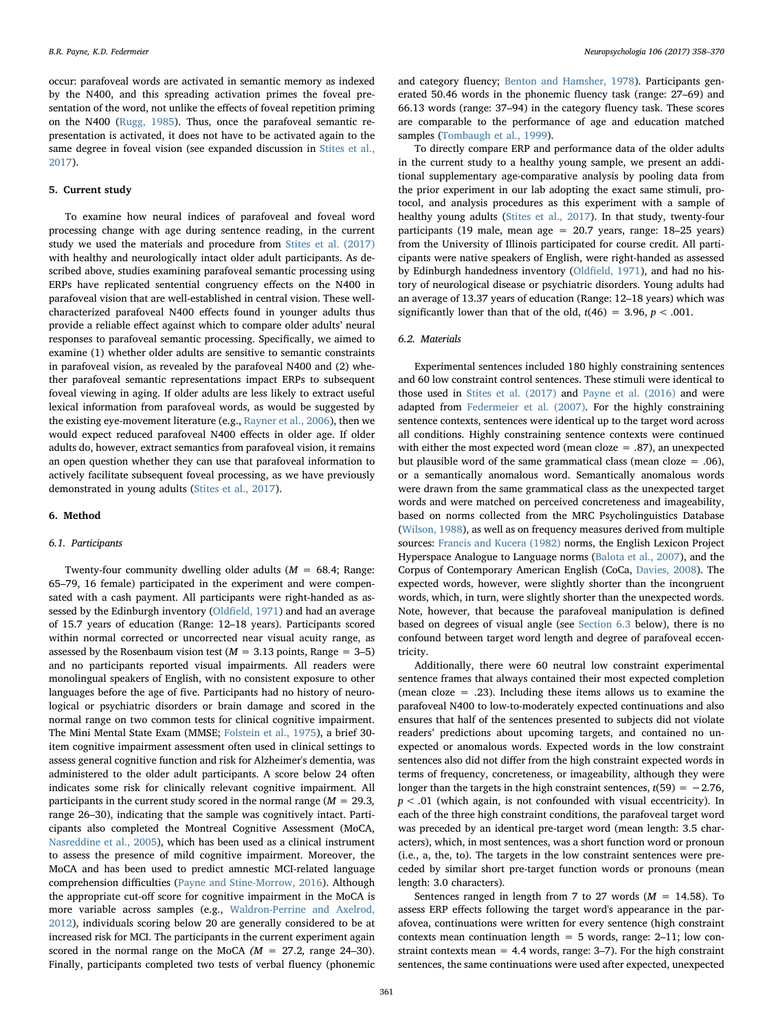occur: parafoveal words are activated in semantic memory as indexed by the N400, and this spreading activation primes the foveal presentation of the word, not unlike the effects of foveal repetition priming on the N400 ([Rugg, 1985](#page-12-33)). Thus, once the parafoveal semantic representation is activated, it does not have to be activated again to the same degree in foveal vision (see expanded discussion in [Stites et al.,](#page-12-31) [2017\)](#page-12-31).

# 5. Current study

To examine how neural indices of parafoveal and foveal word processing change with age during sentence reading, in the current study we used the materials and procedure from [Stites et al. \(2017\)](#page-12-31) with healthy and neurologically intact older adult participants. As described above, studies examining parafoveal semantic processing using ERPs have replicated sentential congruency effects on the N400 in parafoveal vision that are well-established in central vision. These wellcharacterized parafoveal N400 effects found in younger adults thus provide a reliable effect against which to compare older adults' neural responses to parafoveal semantic processing. Specifically, we aimed to examine (1) whether older adults are sensitive to semantic constraints in parafoveal vision, as revealed by the parafoveal N400 and (2) whether parafoveal semantic representations impact ERPs to subsequent foveal viewing in aging. If older adults are less likely to extract useful lexical information from parafoveal words, as would be suggested by the existing eye-movement literature (e.g., [Rayner et al., 2006\)](#page-12-18), then we would expect reduced parafoveal N400 effects in older age. If older adults do, however, extract semantics from parafoveal vision, it remains an open question whether they can use that parafoveal information to actively facilitate subsequent foveal processing, as we have previously demonstrated in young adults [\(Stites et al., 2017\)](#page-12-31).

# 6. Method

# 6.1. Participants

Twenty-four community dwelling older adults ( $M = 68.4$ ; Range: 65–79, 16 female) participated in the experiment and were compensated with a cash payment. All participants were right-handed as assessed by the Edinburgh inventory (Oldfi[eld, 1971\)](#page-12-34) and had an average of 15.7 years of education (Range: 12–18 years). Participants scored within normal corrected or uncorrected near visual acuity range, as assessed by the Rosenbaum vision test ( $M = 3.13$  points, Range = 3–5) and no participants reported visual impairments. All readers were monolingual speakers of English, with no consistent exposure to other languages before the age of five. Participants had no history of neurological or psychiatric disorders or brain damage and scored in the normal range on two common tests for clinical cognitive impairment. The Mini Mental State Exam (MMSE; [Folstein et al., 1975\)](#page-11-31), a brief 30 item cognitive impairment assessment often used in clinical settings to assess general cognitive function and risk for Alzheimer's dementia, was administered to the older adult participants. A score below 24 often indicates some risk for clinically relevant cognitive impairment. All participants in the current study scored in the normal range ( $M = 29.3$ , range 26–30), indicating that the sample was cognitively intact. Participants also completed the Montreal Cognitive Assessment (MoCA, [Nasreddine et al., 2005\)](#page-12-35), which has been used as a clinical instrument to assess the presence of mild cognitive impairment. Moreover, the MoCA and has been used to predict amnestic MCI-related language comprehension difficulties [\(Payne and Stine-Morrow, 2016](#page-12-17)). Although the appropriate cut-off score for cognitive impairment in the MoCA is more variable across samples (e.g., [Waldron-Perrine and Axelrod,](#page-12-36) [2012\)](#page-12-36), individuals scoring below 20 are generally considered to be at increased risk for MCI. The participants in the current experiment again scored in the normal range on the MoCA  $(M = 27.2,$  range 24-30). Finally, participants completed two tests of verbal fluency (phonemic and category fluency; [Benton and Hamsher, 1978](#page-11-32)). Participants generated 50.46 words in the phonemic fluency task (range: 27–69) and 66.13 words (range: 37–94) in the category fluency task. These scores are comparable to the performance of age and education matched samples [\(Tombaugh et al., 1999](#page-12-37)).

To directly compare ERP and performance data of the older adults in the current study to a healthy young sample, we present an additional supplementary age-comparative analysis by pooling data from the prior experiment in our lab adopting the exact same stimuli, protocol, and analysis procedures as this experiment with a sample of healthy young adults ([Stites et al., 2017\)](#page-12-31). In that study, twenty-four participants (19 male, mean age =  $20.7$  years, range: 18–25 years) from the University of Illinois participated for course credit. All participants were native speakers of English, were right-handed as assessed by Edinburgh handedness inventory (Oldfi[eld, 1971](#page-12-34)), and had no history of neurological disease or psychiatric disorders. Young adults had an average of 13.37 years of education (Range: 12–18 years) which was significantly lower than that of the old,  $t(46) = 3.96$ ,  $p < .001$ .

# 6.2. Materials

Experimental sentences included 180 highly constraining sentences and 60 low constraint control sentences. These stimuli were identical to those used in [Stites et al. \(2017\)](#page-12-31) and [Payne et al. \(2016\)](#page-12-25) and were adapted from [Federmeier et al. \(2007\).](#page-11-33) For the highly constraining sentence contexts, sentences were identical up to the target word across all conditions. Highly constraining sentence contexts were continued with either the most expected word (mean cloze = .87), an unexpected but plausible word of the same grammatical class (mean cloze = .06), or a semantically anomalous word. Semantically anomalous words were drawn from the same grammatical class as the unexpected target words and were matched on perceived concreteness and imageability, based on norms collected from the MRC Psycholinguistics Database ([Wilson, 1988\)](#page-12-38), as well as on frequency measures derived from multiple sources: [Francis and Kucera \(1982\)](#page-11-34) norms, the English Lexicon Project Hyperspace Analogue to Language norms [\(Balota et al., 2007](#page-11-35)), and the Corpus of Contemporary American English (CoCa, [Davies, 2008](#page-11-36)). The expected words, however, were slightly shorter than the incongruent words, which, in turn, were slightly shorter than the unexpected words. Note, however, that because the parafoveal manipulation is defined based on degrees of visual angle (see [Section 6.3](#page-4-0) below), there is no confound between target word length and degree of parafoveal eccentricity.

Additionally, there were 60 neutral low constraint experimental sentence frames that always contained their most expected completion (mean cloze = .23). Including these items allows us to examine the parafoveal N400 to low-to-moderately expected continuations and also ensures that half of the sentences presented to subjects did not violate readers' predictions about upcoming targets, and contained no unexpected or anomalous words. Expected words in the low constraint sentences also did not differ from the high constraint expected words in terms of frequency, concreteness, or imageability, although they were longer than the targets in the high constraint sentences,  $t(59) = -2.76$ ,  $p < .01$  (which again, is not confounded with visual eccentricity). In each of the three high constraint conditions, the parafoveal target word was preceded by an identical pre-target word (mean length: 3.5 characters), which, in most sentences, was a short function word or pronoun (i.e., a, the, to). The targets in the low constraint sentences were preceded by similar short pre-target function words or pronouns (mean length: 3.0 characters).

Sentences ranged in length from 7 to 27 words  $(M = 14.58)$ . To assess ERP effects following the target word's appearance in the parafovea, continuations were written for every sentence (high constraint contexts mean continuation length  $= 5$  words, range: 2–11; low constraint contexts mean  $= 4.4$  words, range: 3–7). For the high constraint sentences, the same continuations were used after expected, unexpected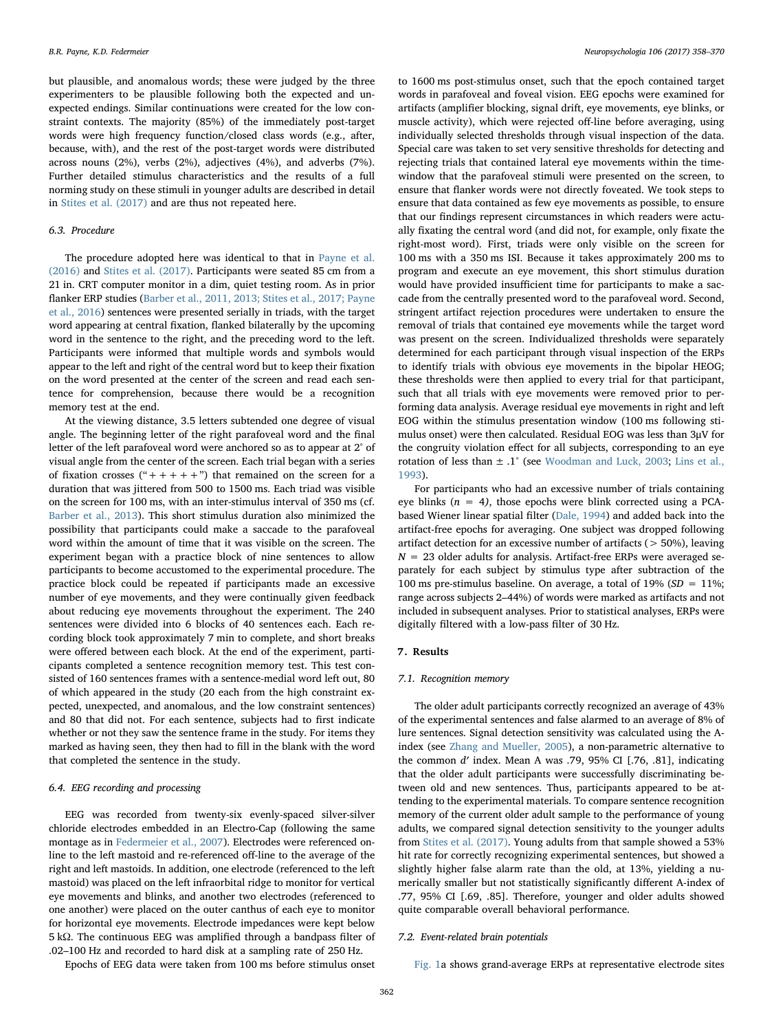but plausible, and anomalous words; these were judged by the three experimenters to be plausible following both the expected and unexpected endings. Similar continuations were created for the low constraint contexts. The majority (85%) of the immediately post-target words were high frequency function/closed class words (e.g., after, because, with), and the rest of the post-target words were distributed across nouns (2%), verbs (2%), adjectives (4%), and adverbs (7%). Further detailed stimulus characteristics and the results of a full norming study on these stimuli in younger adults are described in detail in [Stites et al. \(2017\)](#page-12-31) and are thus not repeated here.

# <span id="page-4-0"></span>6.3. Procedure

The procedure adopted here was identical to that in [Payne et al.](#page-12-25) [\(2016\)](#page-12-25) and [Stites et al. \(2017\)](#page-12-31). Participants were seated 85 cm from a 21 in. CRT computer monitor in a dim, quiet testing room. As in prior flanker ERP studies ([Barber et al., 2011, 2013; Stites et al., 2017; Payne](#page-11-8) [et al., 2016\)](#page-11-8) sentences were presented serially in triads, with the target word appearing at central fixation, flanked bilaterally by the upcoming word in the sentence to the right, and the preceding word to the left. Participants were informed that multiple words and symbols would appear to the left and right of the central word but to keep their fixation on the word presented at the center of the screen and read each sentence for comprehension, because there would be a recognition memory test at the end.

At the viewing distance, 3.5 letters subtended one degree of visual angle. The beginning letter of the right parafoveal word and the final letter of the left parafoveal word were anchored so as to appear at 2° of visual angle from the center of the screen. Each trial began with a series of fixation crosses  $("++++")$  that remained on the screen for a duration that was jittered from 500 to 1500 ms. Each triad was visible on the screen for 100 ms, with an inter-stimulus interval of 350 ms (cf. [Barber et al., 2013](#page-11-9)). This short stimulus duration also minimized the possibility that participants could make a saccade to the parafoveal word within the amount of time that it was visible on the screen. The experiment began with a practice block of nine sentences to allow participants to become accustomed to the experimental procedure. The practice block could be repeated if participants made an excessive number of eye movements, and they were continually given feedback about reducing eye movements throughout the experiment. The 240 sentences were divided into 6 blocks of 40 sentences each. Each recording block took approximately 7 min to complete, and short breaks were offered between each block. At the end of the experiment, participants completed a sentence recognition memory test. This test consisted of 160 sentences frames with a sentence-medial word left out, 80 of which appeared in the study (20 each from the high constraint expected, unexpected, and anomalous, and the low constraint sentences) and 80 that did not. For each sentence, subjects had to first indicate whether or not they saw the sentence frame in the study. For items they marked as having seen, they then had to fill in the blank with the word that completed the sentence in the study.

# 6.4. EEG recording and processing

EEG was recorded from twenty-six evenly-spaced silver-silver chloride electrodes embedded in an Electro-Cap (following the same montage as in [Federmeier et al., 2007\)](#page-11-33). Electrodes were referenced online to the left mastoid and re-referenced off-line to the average of the right and left mastoids. In addition, one electrode (referenced to the left mastoid) was placed on the left infraorbital ridge to monitor for vertical eye movements and blinks, and another two electrodes (referenced to one another) were placed on the outer canthus of each eye to monitor for horizontal eye movements. Electrode impedances were kept below 5 kΩ. The continuous EEG was amplified through a bandpass filter of .02–100 Hz and recorded to hard disk at a sampling rate of 250 Hz.

to 1600 ms post-stimulus onset, such that the epoch contained target words in parafoveal and foveal vision. EEG epochs were examined for artifacts (amplifier blocking, signal drift, eye movements, eye blinks, or muscle activity), which were rejected off-line before averaging, using individually selected thresholds through visual inspection of the data. Special care was taken to set very sensitive thresholds for detecting and rejecting trials that contained lateral eye movements within the timewindow that the parafoveal stimuli were presented on the screen, to ensure that flanker words were not directly foveated. We took steps to ensure that data contained as few eye movements as possible, to ensure that our findings represent circumstances in which readers were actually fixating the central word (and did not, for example, only fixate the right-most word). First, triads were only visible on the screen for 100 ms with a 350 ms ISI. Because it takes approximately 200 ms to program and execute an eye movement, this short stimulus duration would have provided insufficient time for participants to make a saccade from the centrally presented word to the parafoveal word. Second, stringent artifact rejection procedures were undertaken to ensure the removal of trials that contained eye movements while the target word was present on the screen. Individualized thresholds were separately determined for each participant through visual inspection of the ERPs to identify trials with obvious eye movements in the bipolar HEOG; these thresholds were then applied to every trial for that participant, such that all trials with eye movements were removed prior to performing data analysis. Average residual eye movements in right and left EOG within the stimulus presentation window (100 ms following stimulus onset) were then calculated. Residual EOG was less than 3μV for the congruity violation effect for all subjects, corresponding to an eye rotation of less than ± .1° (see [Woodman and Luck, 2003;](#page-12-39) [Lins et al.,](#page-11-37) [1993\)](#page-11-37).

For participants who had an excessive number of trials containing eye blinks ( $n = 4$ ), those epochs were blink corrected using a PCAbased Wiener linear spatial filter ([Dale, 1994](#page-11-38)) and added back into the artifact-free epochs for averaging. One subject was dropped following artifact detection for an excessive number of artifacts (> 50%), leaving  $N = 23$  older adults for analysis. Artifact-free ERPs were averaged separately for each subject by stimulus type after subtraction of the 100 ms pre-stimulus baseline. On average, a total of 19% ( $SD = 11$ %; range across subjects 2–44%) of words were marked as artifacts and not included in subsequent analyses. Prior to statistical analyses, ERPs were digitally filtered with a low-pass filter of 30 Hz.

### 7. Results

#### 7.1. Recognition memory

The older adult participants correctly recognized an average of 43% of the experimental sentences and false alarmed to an average of 8% of lure sentences. Signal detection sensitivity was calculated using the Aindex (see [Zhang and Mueller, 2005](#page-12-40)), a non-parametric alternative to the common d′ index. Mean A was .79, 95% CI [.76, .81], indicating that the older adult participants were successfully discriminating between old and new sentences. Thus, participants appeared to be attending to the experimental materials. To compare sentence recognition memory of the current older adult sample to the performance of young adults, we compared signal detection sensitivity to the younger adults from [Stites et al. \(2017\).](#page-12-31) Young adults from that sample showed a 53% hit rate for correctly recognizing experimental sentences, but showed a slightly higher false alarm rate than the old, at 13%, yielding a numerically smaller but not statistically significantly different A-index of .77, 95% CI [.69, .85]. Therefore, younger and older adults showed quite comparable overall behavioral performance.

#### 7.2. Event-related brain potentials

Epochs of EEG data were taken from 100 ms before stimulus onset

[Fig. 1a](#page-5-0) shows grand-average ERPs at representative electrode sites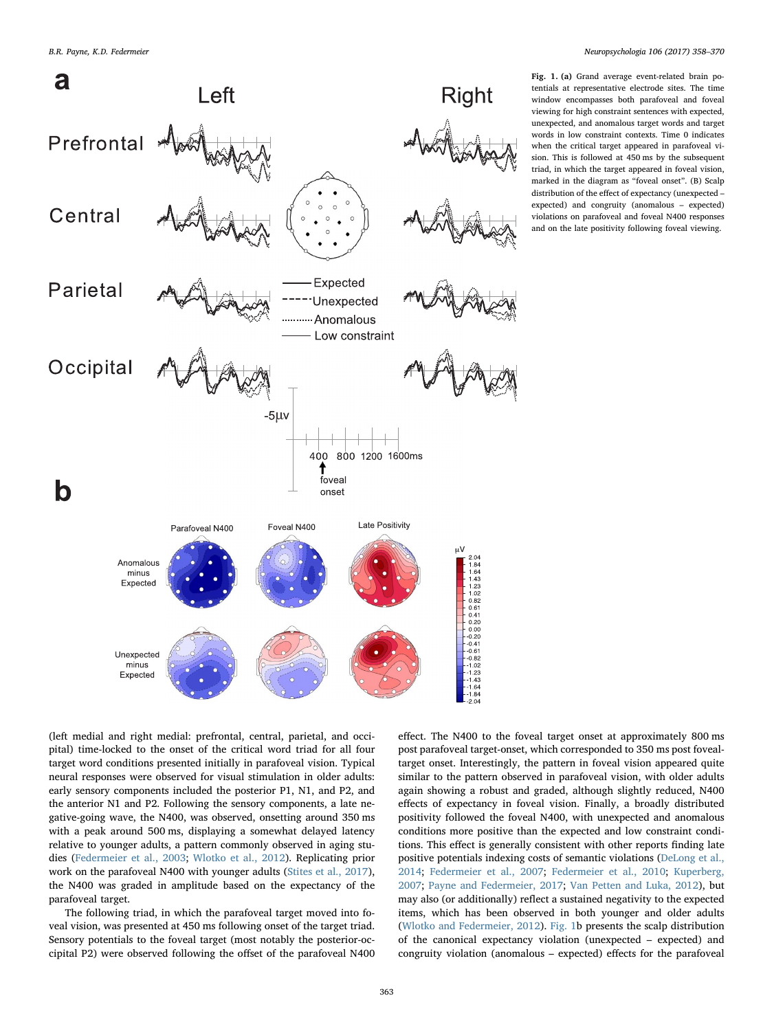<span id="page-5-0"></span>

Fig. 1. (a) Grand average event-related brain potentials at representative electrode sites. The time window encompasses both parafoveal and foveal viewing for high constraint sentences with expected, unexpected, and anomalous target words and target words in low constraint contexts. Time 0 indicates when the critical target appeared in parafoveal vision. This is followed at 450 ms by the subsequent triad, in which the target appeared in foveal vision, marked in the diagram as "foveal onset". (B) Scalp distribution of the effect of expectancy (unexpected – expected) and congruity (anomalous – expected) violations on parafoveal and foveal N400 responses and on the late positivity following foveal viewing.

(left medial and right medial: prefrontal, central, parietal, and occipital) time-locked to the onset of the critical word triad for all four target word conditions presented initially in parafoveal vision. Typical neural responses were observed for visual stimulation in older adults: early sensory components included the posterior P1, N1, and P2, and the anterior N1 and P2. Following the sensory components, a late negative-going wave, the N400, was observed, onsetting around 350 ms with a peak around 500 ms, displaying a somewhat delayed latency relative to younger adults, a pattern commonly observed in aging studies ([Federmeier et al., 2003](#page-11-39); [Wlotko et al., 2012](#page-12-4)). Replicating prior work on the parafoveal N400 with younger adults [\(Stites et al., 2017](#page-12-31)), the N400 was graded in amplitude based on the expectancy of the parafoveal target.

The following triad, in which the parafoveal target moved into foveal vision, was presented at 450 ms following onset of the target triad. Sensory potentials to the foveal target (most notably the posterior-occipital P2) were observed following the offset of the parafoveal N400 effect. The N400 to the foveal target onset at approximately 800 ms post parafoveal target-onset, which corresponded to 350 ms post fovealtarget onset. Interestingly, the pattern in foveal vision appeared quite similar to the pattern observed in parafoveal vision, with older adults again showing a robust and graded, although slightly reduced, N400 effects of expectancy in foveal vision. Finally, a broadly distributed positivity followed the foveal N400, with unexpected and anomalous conditions more positive than the expected and low constraint conditions. This effect is generally consistent with other reports finding late positive potentials indexing costs of semantic violations ([DeLong et al.,](#page-11-40) [2014;](#page-11-40) [Federmeier et al., 2007](#page-11-33); [Federmeier et al., 2010](#page-11-17); [Kuperberg,](#page-11-41) [2007;](#page-11-41) [Payne and Federmeier, 2017;](#page-12-26) [Van Petten and Luka, 2012\)](#page-12-41), but may also (or additionally) reflect a sustained negativity to the expected items, which has been observed in both younger and older adults ([Wlotko and Federmeier, 2012\)](#page-12-42). [Fig. 1b](#page-5-0) presents the scalp distribution of the canonical expectancy violation (unexpected – expected) and congruity violation (anomalous – expected) effects for the parafoveal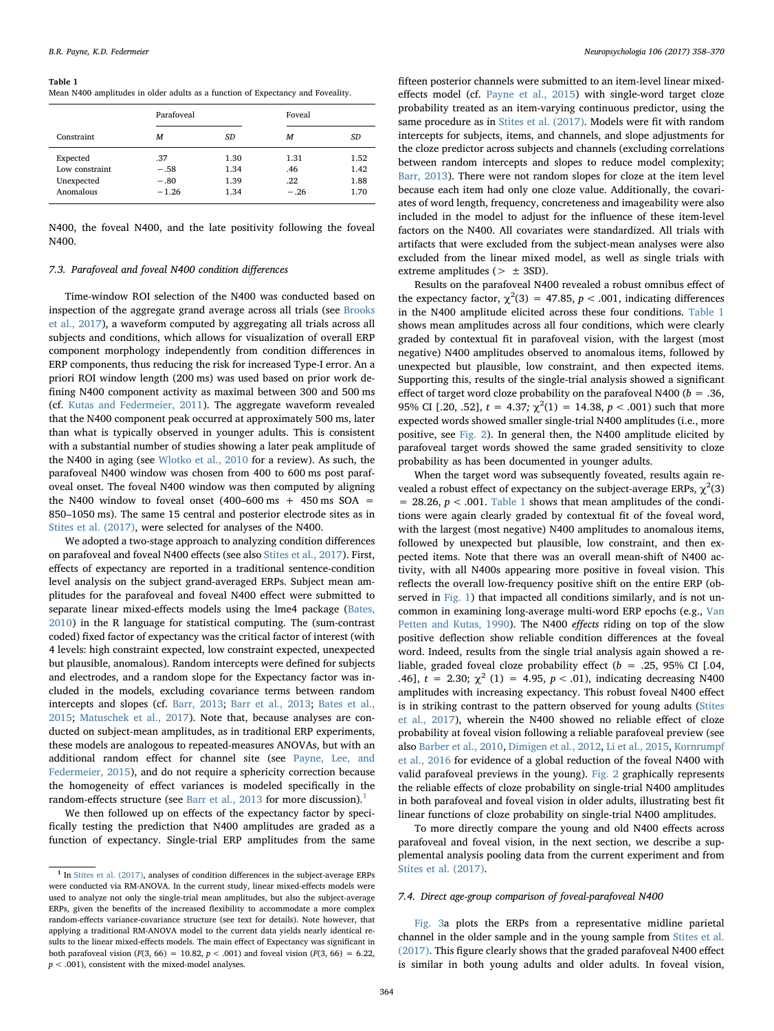#### <span id="page-6-1"></span>Table 1

Mean N400 amplitudes in older adults as a function of Expectancy and Foveality.

|                                                       | Parafoveal                         |                              | Foveal                       |                              |
|-------------------------------------------------------|------------------------------------|------------------------------|------------------------------|------------------------------|
| Constraint                                            | м                                  | SD                           | м                            | SD                           |
| Expected<br>Low constraint<br>Unexpected<br>Anomalous | .37<br>$-.58$<br>$-.80$<br>$-1.26$ | 1.30<br>1.34<br>1.39<br>1.34 | 1.31<br>.46<br>.22<br>$-.26$ | 1.52<br>1.42<br>1.88<br>1.70 |

N400, the foveal N400, and the late positivity following the foveal N400.

# 7.3. Parafoveal and foveal N400 condition differences

Time-window ROI selection of the N400 was conducted based on inspection of the aggregate grand average across all trials (see [Brooks](#page-11-42) [et al., 2017](#page-11-42)), a waveform computed by aggregating all trials across all subjects and conditions, which allows for visualization of overall ERP component morphology independently from condition differences in ERP components, thus reducing the risk for increased Type-I error. An a priori ROI window length (200 ms) was used based on prior work defining N400 component activity as maximal between 300 and 500 ms (cf. [Kutas and Federmeier, 2011](#page-11-30)). The aggregate waveform revealed that the N400 component peak occurred at approximately 500 ms, later than what is typically observed in younger adults. This is consistent with a substantial number of studies showing a later peak amplitude of the N400 in aging (see [Wlotko et al., 2010](#page-12-27) for a review). As such, the parafoveal N400 window was chosen from 400 to 600 ms post parafoveal onset. The foveal N400 window was then computed by aligning the N400 window to foveal onset  $(400-600 \text{ ms } + 450 \text{ ms } SOA =$ 850–1050 ms). The same 15 central and posterior electrode sites as in [Stites et al. \(2017\),](#page-12-31) were selected for analyses of the N400.

We adopted a two-stage approach to analyzing condition differences on parafoveal and foveal N400 effects (see also [Stites et al., 2017\)](#page-12-31). First, effects of expectancy are reported in a traditional sentence-condition level analysis on the subject grand-averaged ERPs. Subject mean amplitudes for the parafoveal and foveal N400 effect were submitted to separate linear mixed-effects models using the lme4 package ([Bates,](#page-11-43) [2010\)](#page-11-43) in the R language for statistical computing. The (sum-contrast coded) fixed factor of expectancy was the critical factor of interest (with 4 levels: high constraint expected, low constraint expected, unexpected but plausible, anomalous). Random intercepts were defined for subjects and electrodes, and a random slope for the Expectancy factor was included in the models, excluding covariance terms between random intercepts and slopes (cf. [Barr, 2013;](#page-11-44) [Barr et al., 2013](#page-11-45); [Bates et al.,](#page-11-46) [2015;](#page-11-46) [Matuschek et al., 2017\)](#page-12-43). Note that, because analyses are conducted on subject-mean amplitudes, as in traditional ERP experiments, these models are analogous to repeated-measures ANOVAs, but with an additional random effect for channel site (see [Payne, Lee, and](#page-12-44) [Federmeier, 2015](#page-12-44)), and do not require a sphericity correction because the homogeneity of effect variances is modeled specifically in the random-effects structure (see [Barr et al., 2013](#page-11-45) for more discussion).<sup>[1](#page-6-0)</sup>

We then followed up on effects of the expectancy factor by specifically testing the prediction that N400 amplitudes are graded as a function of expectancy. Single-trial ERP amplitudes from the same

fifteen posterior channels were submitted to an item-level linear mixedeffects model (cf. [Payne et al., 2015\)](#page-12-44) with single-word target cloze probability treated as an item-varying continuous predictor, using the same procedure as in [Stites et al. \(2017\).](#page-12-31) Models were fit with random intercepts for subjects, items, and channels, and slope adjustments for the cloze predictor across subjects and channels (excluding correlations between random intercepts and slopes to reduce model complexity; [Barr, 2013\)](#page-11-44). There were not random slopes for cloze at the item level because each item had only one cloze value. Additionally, the covariates of word length, frequency, concreteness and imageability were also included in the model to adjust for the influence of these item-level factors on the N400. All covariates were standardized. All trials with artifacts that were excluded from the subject-mean analyses were also excluded from the linear mixed model, as well as single trials with extreme amplitudes ( $> \pm 3SD$ ).

Results on the parafoveal N400 revealed a robust omnibus effect of the expectancy factor,  $\chi^2(3) = 47.85$ ,  $p < .001$ , indicating differences in the N400 amplitude elicited across these four conditions. [Table 1](#page-6-1) shows mean amplitudes across all four conditions, which were clearly graded by contextual fit in parafoveal vision, with the largest (most negative) N400 amplitudes observed to anomalous items, followed by unexpected but plausible, low constraint, and then expected items. Supporting this, results of the single-trial analysis showed a significant effect of target word cloze probability on the parafoveal N400 ( $b = .36$ , 95% CI [.20, .52],  $t = 4.37$ ;  $\chi^2(1) = 14.38$ ,  $p < .001$ ) such that more expected words showed smaller single-trial N400 amplitudes (i.e., more positive, see [Fig. 2\)](#page-7-0). In general then, the N400 amplitude elicited by parafoveal target words showed the same graded sensitivity to cloze probability as has been documented in younger adults.

When the target word was subsequently foveated, results again revealed a robust effect of expectancy on the subject-average ERPs,  $\chi^2(3)$  $= 28.26$ ,  $p < .001$ . [Table 1](#page-6-1) shows that mean amplitudes of the conditions were again clearly graded by contextual fit of the foveal word, with the largest (most negative) N400 amplitudes to anomalous items, followed by unexpected but plausible, low constraint, and then expected items. Note that there was an overall mean-shift of N400 activity, with all N400s appearing more positive in foveal vision. This reflects the overall low-frequency positive shift on the entire ERP (observed in [Fig. 1](#page-5-0)) that impacted all conditions similarly, and is not uncommon in examining long-average multi-word ERP epochs (e.g., [Van](#page-12-45) [Petten and Kutas, 1990](#page-12-45)). The N400 effects riding on top of the slow positive deflection show reliable condition differences at the foveal word. Indeed, results from the single trial analysis again showed a reliable, graded foveal cloze probability effect ( $b = .25$ , 95% CI [.04, .46],  $t = 2.30$ ;  $\chi^2$  (1) = 4.95,  $p < .01$ ), indicating decreasing N400 amplitudes with increasing expectancy. This robust foveal N400 effect is in striking contrast to the pattern observed for young adults ([Stites](#page-12-31) [et al., 2017](#page-12-31)), wherein the N400 showed no reliable effect of cloze probability at foveal vision following a reliable parafoveal preview (see also [Barber et al., 2010](#page-11-8), [Dimigen et al., 2012,](#page-11-3) [Li et al., 2015,](#page-11-23) [Kornrumpf](#page-11-47) [et al., 2016](#page-11-47) for evidence of a global reduction of the foveal N400 with valid parafoveal previews in the young). [Fig. 2](#page-7-0) graphically represents the reliable effects of cloze probability on single-trial N400 amplitudes in both parafoveal and foveal vision in older adults, illustrating best fit linear functions of cloze probability on single-trial N400 amplitudes.

To more directly compare the young and old N400 effects across parafoveal and foveal vision, in the next section, we describe a supplemental analysis pooling data from the current experiment and from [Stites et al. \(2017\).](#page-12-31)

#### 7.4. Direct age-group comparison of foveal-parafoveal N400

[Fig. 3a](#page-8-0) plots the ERPs from a representative midline parietal channel in the older sample and in the young sample from [Stites et al.](#page-12-31) [\(2017\).](#page-12-31) This figure clearly shows that the graded parafoveal N400 effect is similar in both young adults and older adults. In foveal vision,

<span id="page-6-0"></span> $1$  In [Stites et al. \(2017\)](#page-12-31), analyses of condition differences in the subject-average ERPs were conducted via RM-ANOVA. In the current study, linear mixed-effects models were used to analyze not only the single-trial mean amplitudes, but also the subject-average ERPs, given the benefits of the increased flexibility to accommodate a more complex random-effects variance-covariance structure (see text for details). Note however, that applying a traditional RM-ANOVA model to the current data yields nearly identical results to the linear mixed-effects models. The main effect of Expectancy was significant in both parafoveal vision ( $F(3, 66) = 10.82$ ,  $p < .001$ ) and foveal vision ( $F(3, 66) = 6.22$ ,  $p < .001$ ), consistent with the mixed-model analyses.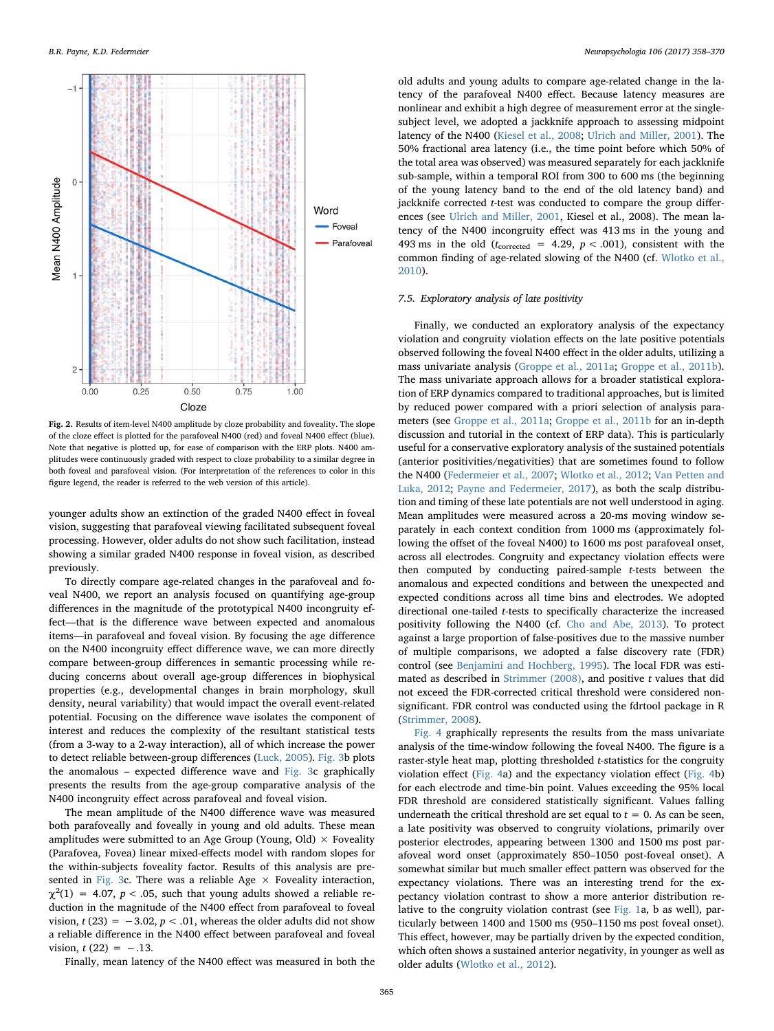<span id="page-7-0"></span>

Fig. 2. Results of item-level N400 amplitude by cloze probability and foveality. The slope of the cloze effect is plotted for the parafoveal N400 (red) and foveal N400 effect (blue). Note that negative is plotted up, for ease of comparison with the ERP plots. N400 amplitudes were continuously graded with respect to cloze probability to a similar degree in both foveal and parafoveal vision. (For interpretation of the references to color in this figure legend, the reader is referred to the web version of this article).

younger adults show an extinction of the graded N400 effect in foveal vision, suggesting that parafoveal viewing facilitated subsequent foveal processing. However, older adults do not show such facilitation, instead showing a similar graded N400 response in foveal vision, as described previously.

To directly compare age-related changes in the parafoveal and foveal N400, we report an analysis focused on quantifying age-group differences in the magnitude of the prototypical N400 incongruity effect—that is the difference wave between expected and anomalous items—in parafoveal and foveal vision. By focusing the age difference on the N400 incongruity effect difference wave, we can more directly compare between-group differences in semantic processing while reducing concerns about overall age-group differences in biophysical properties (e.g., developmental changes in brain morphology, skull density, neural variability) that would impact the overall event-related potential. Focusing on the difference wave isolates the component of interest and reduces the complexity of the resultant statistical tests (from a 3-way to a 2-way interaction), all of which increase the power to detect reliable between-group differences [\(Luck, 2005](#page-11-48)). [Fig. 3b](#page-8-0) plots the anomalous – expected difference wave and [Fig. 3](#page-8-0)c graphically presents the results from the age-group comparative analysis of the N400 incongruity effect across parafoveal and foveal vision.

The mean amplitude of the N400 difference wave was measured both parafoveally and foveally in young and old adults. These mean amplitudes were submitted to an Age Group (Young, Old)  $\times$  Foveality (Parafovea, Fovea) linear mixed-effects model with random slopes for the within-subjects foveality factor. Results of this analysis are pre-sented in [Fig. 3](#page-8-0)c. There was a reliable Age  $\times$  Foveality interaction,  $\chi^2(1) = 4.07$ ,  $p < .05$ , such that young adults showed a reliable reduction in the magnitude of the N400 effect from parafoveal to foveal vision,  $t(23) = -3.02$ ,  $p < .01$ , whereas the older adults did not show a reliable difference in the N400 effect between parafoveal and foveal vision,  $t(22) = -.13$ .

old adults and young adults to compare age-related change in the latency of the parafoveal N400 effect. Because latency measures are nonlinear and exhibit a high degree of measurement error at the singlesubject level, we adopted a jackknife approach to assessing midpoint latency of the N400 [\(Kiesel et al., 2008](#page-11-49); [Ulrich and Miller, 2001](#page-12-46)). The 50% fractional area latency (i.e., the time point before which 50% of the total area was observed) was measured separately for each jackknife sub-sample, within a temporal ROI from 300 to 600 ms (the beginning of the young latency band to the end of the old latency band) and jackknife corrected *t*-test was conducted to compare the group differences (see [Ulrich and Miller, 2001](#page-12-46), Kiesel et al., 2008). The mean latency of the N400 incongruity effect was 413 ms in the young and 493 ms in the old ( $t_{\text{corrected}} = 4.29$ ,  $p < .001$ ), consistent with the common finding of age-related slowing of the N400 (cf. [Wlotko et al.,](#page-12-27) [2010\)](#page-12-27).

# 7.5. Exploratory analysis of late positivity

Finally, we conducted an exploratory analysis of the expectancy violation and congruity violation effects on the late positive potentials observed following the foveal N400 effect in the older adults, utilizing a mass univariate analysis [\(Groppe et al., 2011a](#page-11-50); [Groppe et al., 2011b](#page-11-51)). The mass univariate approach allows for a broader statistical exploration of ERP dynamics compared to traditional approaches, but is limited by reduced power compared with a priori selection of analysis parameters (see [Groppe et al., 2011a;](#page-11-50) [Groppe et al., 2011b](#page-11-51) for an in-depth discussion and tutorial in the context of ERP data). This is particularly useful for a conservative exploratory analysis of the sustained potentials (anterior positivities/negativities) that are sometimes found to follow the N400 ([Federmeier et al., 2007;](#page-11-33) [Wlotko et al., 2012](#page-12-4); [Van Petten and](#page-12-41) [Luka, 2012;](#page-12-41) [Payne and Federmeier, 2017](#page-12-26)), as both the scalp distribution and timing of these late potentials are not well understood in aging. Mean amplitudes were measured across a 20-ms moving window separately in each context condition from 1000 ms (approximately following the offset of the foveal N400) to 1600 ms post parafoveal onset, across all electrodes. Congruity and expectancy violation effects were then computed by conducting paired-sample t-tests between the anomalous and expected conditions and between the unexpected and expected conditions across all time bins and electrodes. We adopted directional one-tailed t-tests to specifically characterize the increased positivity following the N400 (cf. [Cho and Abe, 2013\)](#page-11-52). To protect against a large proportion of false-positives due to the massive number of multiple comparisons, we adopted a false discovery rate (FDR) control (see [Benjamini and Hochberg, 1995\)](#page-11-53). The local FDR was estimated as described in Strimmer  $(2008)$ , and positive t values that did not exceed the FDR-corrected critical threshold were considered nonsignificant. FDR control was conducted using the fdrtool package in R ([Strimmer, 2008](#page-12-47)).

[Fig. 4](#page-8-1) graphically represents the results from the mass univariate analysis of the time-window following the foveal N400. The figure is a raster-style heat map, plotting thresholded t-statistics for the congruity violation effect [\(Fig. 4](#page-8-1)a) and the expectancy violation effect ([Fig. 4](#page-8-1)b) for each electrode and time-bin point. Values exceeding the 95% local FDR threshold are considered statistically significant. Values falling underneath the critical threshold are set equal to  $t = 0$ . As can be seen, a late positivity was observed to congruity violations, primarily over posterior electrodes, appearing between 1300 and 1500 ms post parafoveal word onset (approximately 850–1050 post-foveal onset). A somewhat similar but much smaller effect pattern was observed for the expectancy violations. There was an interesting trend for the expectancy violation contrast to show a more anterior distribution relative to the congruity violation contrast (see [Fig. 1](#page-5-0)a, b as well), particularly between 1400 and 1500 ms (950–1150 ms post foveal onset). This effect, however, may be partially driven by the expected condition, which often shows a sustained anterior negativity, in younger as well as older adults [\(Wlotko et al., 2012](#page-12-4)).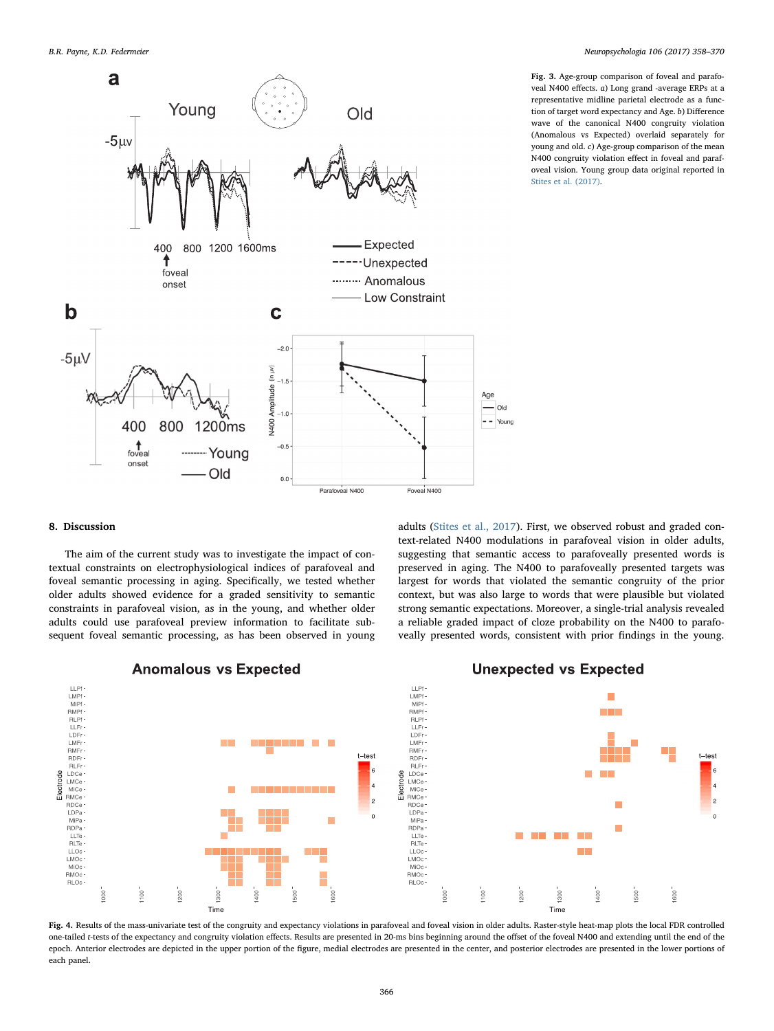<span id="page-8-0"></span>

Fig. 3. Age-group comparison of foveal and parafoveal N400 effects. a) Long grand -average ERPs at a representative midline parietal electrode as a function of target word expectancy and Age. b) Difference wave of the canonical N400 congruity violation (Anomalous vs Expected) overlaid separately for young and old. c) Age-group comparison of the mean N400 congruity violation effect in foveal and parafoveal vision. Young group data original reported in [Stites et al. \(2017\).](#page-12-31)

# 8. Discussion

The aim of the current study was to investigate the impact of contextual constraints on electrophysiological indices of parafoveal and foveal semantic processing in aging. Specifically, we tested whether older adults showed evidence for a graded sensitivity to semantic constraints in parafoveal vision, as in the young, and whether older adults could use parafoveal preview information to facilitate subsequent foveal semantic processing, as has been observed in young adults ([Stites et al., 2017](#page-12-31)). First, we observed robust and graded context-related N400 modulations in parafoveal vision in older adults, suggesting that semantic access to parafoveally presented words is preserved in aging. The N400 to parafoveally presented targets was largest for words that violated the semantic congruity of the prior context, but was also large to words that were plausible but violated strong semantic expectations. Moreover, a single-trial analysis revealed a reliable graded impact of cloze probability on the N400 to parafoveally presented words, consistent with prior findings in the young.

<span id="page-8-1"></span>

**Anomalous vs Expected** 

Fig. 4. Results of the mass-univariate test of the congruity and expectancy violations in parafoveal and foveal vision in older adults. Raster-style heat-map plots the local FDR controlled one-tailed t-tests of the expectancy and congruity violation effects. Results are presented in 20-ms bins beginning around the offset of the foveal N400 and extending until the end of the epoch. Anterior electrodes are depicted in the upper portion of the figure, medial electrodes are presented in the center, and posterior electrodes are presented in the lower portions of each panel.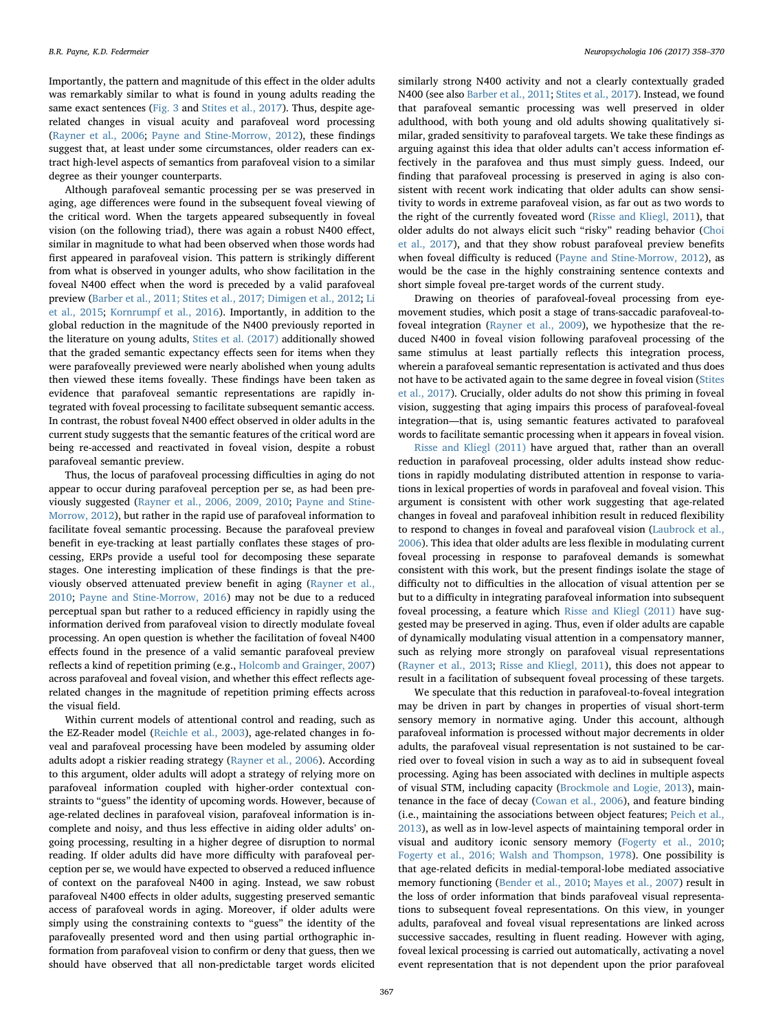Importantly, the pattern and magnitude of this effect in the older adults was remarkably similar to what is found in young adults reading the same exact sentences ([Fig. 3](#page-8-0) and [Stites et al., 2017](#page-12-31)). Thus, despite agerelated changes in visual acuity and parafoveal word processing ([Rayner et al., 2006](#page-12-18); [Payne and Stine-Morrow, 2012](#page-12-19)), these findings suggest that, at least under some circumstances, older readers can extract high-level aspects of semantics from parafoveal vision to a similar degree as their younger counterparts.

Although parafoveal semantic processing per se was preserved in aging, age differences were found in the subsequent foveal viewing of the critical word. When the targets appeared subsequently in foveal vision (on the following triad), there was again a robust N400 effect, similar in magnitude to what had been observed when those words had first appeared in parafoveal vision. This pattern is strikingly different from what is observed in younger adults, who show facilitation in the foveal N400 effect when the word is preceded by a valid parafoveal preview [\(Barber et al., 2011; Stites et al., 2017; Dimigen et al., 2012;](#page-11-8) [Li](#page-11-23) [et al., 2015](#page-11-23); [Kornrumpf et al., 2016\)](#page-11-47). Importantly, in addition to the global reduction in the magnitude of the N400 previously reported in the literature on young adults, [Stites et al. \(2017\)](#page-12-31) additionally showed that the graded semantic expectancy effects seen for items when they were parafoveally previewed were nearly abolished when young adults then viewed these items foveally. These findings have been taken as evidence that parafoveal semantic representations are rapidly integrated with foveal processing to facilitate subsequent semantic access. In contrast, the robust foveal N400 effect observed in older adults in the current study suggests that the semantic features of the critical word are being re-accessed and reactivated in foveal vision, despite a robust parafoveal semantic preview.

Thus, the locus of parafoveal processing difficulties in aging do not appear to occur during parafoveal perception per se, as had been previously suggested [\(Rayner et al., 2006, 2009, 2010;](#page-12-5) [Payne and Stine-](#page-12-19)[Morrow, 2012](#page-12-19)), but rather in the rapid use of parafoveal information to facilitate foveal semantic processing. Because the parafoveal preview benefit in eye-tracking at least partially conflates these stages of processing, ERPs provide a useful tool for decomposing these separate stages. One interesting implication of these findings is that the previously observed attenuated preview benefit in aging [\(Rayner et al.,](#page-12-22) [2010;](#page-12-22) [Payne and Stine-Morrow, 2016\)](#page-12-17) may not be due to a reduced perceptual span but rather to a reduced efficiency in rapidly using the information derived from parafoveal vision to directly modulate foveal processing. An open question is whether the facilitation of foveal N400 effects found in the presence of a valid semantic parafoveal preview reflects a kind of repetition priming (e.g., [Holcomb and Grainger, 2007\)](#page-11-54) across parafoveal and foveal vision, and whether this effect reflects agerelated changes in the magnitude of repetition priming effects across the visual field.

Within current models of attentional control and reading, such as the EZ-Reader model ([Reichle et al., 2003](#page-12-48)), age-related changes in foveal and parafoveal processing have been modeled by assuming older adults adopt a riskier reading strategy ([Rayner et al., 2006](#page-12-18)). According to this argument, older adults will adopt a strategy of relying more on parafoveal information coupled with higher-order contextual constraints to "guess" the identity of upcoming words. However, because of age-related declines in parafoveal vision, parafoveal information is incomplete and noisy, and thus less effective in aiding older adults' ongoing processing, resulting in a higher degree of disruption to normal reading. If older adults did have more difficulty with parafoveal perception per se, we would have expected to observed a reduced influence of context on the parafoveal N400 in aging. Instead, we saw robust parafoveal N400 effects in older adults, suggesting preserved semantic access of parafoveal words in aging. Moreover, if older adults were simply using the constraining contexts to "guess" the identity of the parafoveally presented word and then using partial orthographic information from parafoveal vision to confirm or deny that guess, then we should have observed that all non-predictable target words elicited

similarly strong N400 activity and not a clearly contextually graded N400 (see also [Barber et al., 2011](#page-11-55); [Stites et al., 2017](#page-12-31)). Instead, we found that parafoveal semantic processing was well preserved in older adulthood, with both young and old adults showing qualitatively similar, graded sensitivity to parafoveal targets. We take these findings as arguing against this idea that older adults can't access information effectively in the parafovea and thus must simply guess. Indeed, our finding that parafoveal processing is preserved in aging is also consistent with recent work indicating that older adults can show sensitivity to words in extreme parafoveal vision, as far out as two words to the right of the currently foveated word ([Risse and Kliegl, 2011\)](#page-12-49), that older adults do not always elicit such "risky" reading behavior [\(Choi](#page-11-16) [et al., 2017\)](#page-11-16), and that they show robust parafoveal preview benefits when foveal difficulty is reduced ([Payne and Stine-Morrow, 2012](#page-12-19)), as would be the case in the highly constraining sentence contexts and short simple foveal pre-target words of the current study.

Drawing on theories of parafoveal-foveal processing from eyemovement studies, which posit a stage of trans-saccadic parafoveal-tofoveal integration ([Rayner et al., 2009\)](#page-12-5), we hypothesize that the reduced N400 in foveal vision following parafoveal processing of the same stimulus at least partially reflects this integration process, wherein a parafoveal semantic representation is activated and thus does not have to be activated again to the same degree in foveal vision ([Stites](#page-12-31) [et al., 2017\)](#page-12-31). Crucially, older adults do not show this priming in foveal vision, suggesting that aging impairs this process of parafoveal-foveal integration—that is, using semantic features activated to parafoveal words to facilitate semantic processing when it appears in foveal vision.

[Risse and Kliegl \(2011\)](#page-12-49) have argued that, rather than an overall reduction in parafoveal processing, older adults instead show reductions in rapidly modulating distributed attention in response to variations in lexical properties of words in parafoveal and foveal vision. This argument is consistent with other work suggesting that age-related changes in foveal and parafoveal inhibition result in reduced flexibility to respond to changes in foveal and parafoveal vision [\(Laubrock et al.,](#page-11-56) [2006\)](#page-11-56). This idea that older adults are less flexible in modulating current foveal processing in response to parafoveal demands is somewhat consistent with this work, but the present findings isolate the stage of difficulty not to difficulties in the allocation of visual attention per se but to a difficulty in integrating parafoveal information into subsequent foveal processing, a feature which [Risse and Kliegl \(2011\)](#page-12-49) have suggested may be preserved in aging. Thus, even if older adults are capable of dynamically modulating visual attention in a compensatory manner, such as relying more strongly on parafoveal visual representations ([Rayner et al., 2013](#page-12-21); [Risse and Kliegl, 2011](#page-12-49)), this does not appear to result in a facilitation of subsequent foveal processing of these targets.

We speculate that this reduction in parafoveal-to-foveal integration may be driven in part by changes in properties of visual short-term sensory memory in normative aging. Under this account, although parafoveal information is processed without major decrements in older adults, the parafoveal visual representation is not sustained to be carried over to foveal vision in such a way as to aid in subsequent foveal processing. Aging has been associated with declines in multiple aspects of visual STM, including capacity [\(Brockmole and Logie, 2013](#page-11-57)), maintenance in the face of decay [\(Cowan et al., 2006\)](#page-11-24), and feature binding (i.e., maintaining the associations between object features; [Peich et al.,](#page-12-50) [2013\)](#page-12-50), as well as in low-level aspects of maintaining temporal order in visual and auditory iconic sensory memory ([Fogerty et al., 2010](#page-11-58); [Fogerty et al., 2016; Walsh and Thompson, 1978](#page-11-59)). One possibility is that age-related deficits in medial-temporal-lobe mediated associative memory functioning [\(Bender et al., 2010](#page-11-60); [Mayes et al., 2007\)](#page-12-51) result in the loss of order information that binds parafoveal visual representations to subsequent foveal representations. On this view, in younger adults, parafoveal and foveal visual representations are linked across successive saccades, resulting in fluent reading. However with aging, foveal lexical processing is carried out automatically, activating a novel event representation that is not dependent upon the prior parafoveal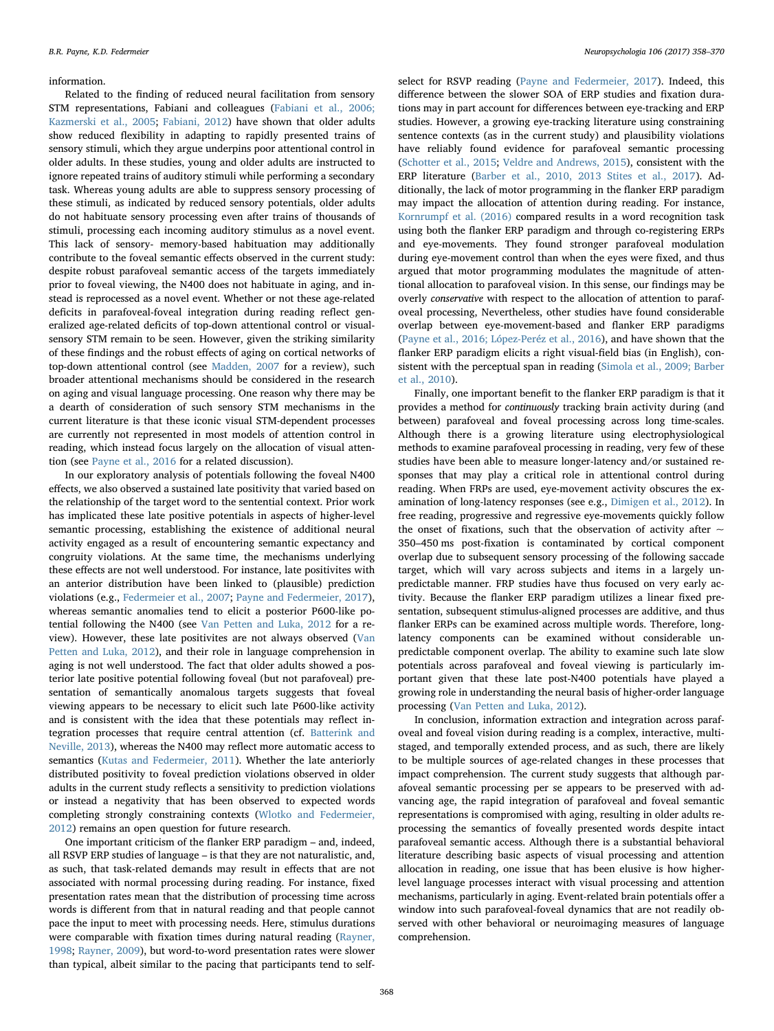### information.

Related to the finding of reduced neural facilitation from sensory STM representations, Fabiani and colleagues [\(Fabiani et al., 2006;](#page-11-61) [Kazmerski et al., 2005;](#page-11-61) [Fabiani, 2012](#page-11-11)) have shown that older adults show reduced flexibility in adapting to rapidly presented trains of sensory stimuli, which they argue underpins poor attentional control in older adults. In these studies, young and older adults are instructed to ignore repeated trains of auditory stimuli while performing a secondary task. Whereas young adults are able to suppress sensory processing of these stimuli, as indicated by reduced sensory potentials, older adults do not habituate sensory processing even after trains of thousands of stimuli, processing each incoming auditory stimulus as a novel event. This lack of sensory- memory-based habituation may additionally contribute to the foveal semantic effects observed in the current study: despite robust parafoveal semantic access of the targets immediately prior to foveal viewing, the N400 does not habituate in aging, and instead is reprocessed as a novel event. Whether or not these age-related deficits in parafoveal-foveal integration during reading reflect generalized age-related deficits of top-down attentional control or visualsensory STM remain to be seen. However, given the striking similarity of these findings and the robust effects of aging on cortical networks of top-down attentional control (see [Madden, 2007](#page-12-52) for a review), such broader attentional mechanisms should be considered in the research on aging and visual language processing. One reason why there may be a dearth of consideration of such sensory STM mechanisms in the current literature is that these iconic visual STM-dependent processes are currently not represented in most models of attention control in reading, which instead focus largely on the allocation of visual attention (see [Payne et al., 2016](#page-12-25) for a related discussion).

In our exploratory analysis of potentials following the foveal N400 effects, we also observed a sustained late positivity that varied based on the relationship of the target word to the sentential context. Prior work has implicated these late positive potentials in aspects of higher-level semantic processing, establishing the existence of additional neural activity engaged as a result of encountering semantic expectancy and congruity violations. At the same time, the mechanisms underlying these effects are not well understood. For instance, late positivites with an anterior distribution have been linked to (plausible) prediction violations (e.g., [Federmeier et al., 2007](#page-11-33); [Payne and Federmeier, 2017](#page-12-26)), whereas semantic anomalies tend to elicit a posterior P600-like potential following the N400 (see [Van Petten and Luka, 2012](#page-12-41) for a review). However, these late positivites are not always observed ([Van](#page-12-41) [Petten and Luka, 2012](#page-12-41)), and their role in language comprehension in aging is not well understood. The fact that older adults showed a posterior late positive potential following foveal (but not parafoveal) presentation of semantically anomalous targets suggests that foveal viewing appears to be necessary to elicit such late P600-like activity and is consistent with the idea that these potentials may reflect integration processes that require central attention (cf. [Batterink and](#page-11-62) [Neville, 2013\)](#page-11-62), whereas the N400 may reflect more automatic access to semantics [\(Kutas and Federmeier, 2011\)](#page-11-30). Whether the late anteriorly distributed positivity to foveal prediction violations observed in older adults in the current study reflects a sensitivity to prediction violations or instead a negativity that has been observed to expected words completing strongly constraining contexts [\(Wlotko and Federmeier,](#page-12-42) [2012\)](#page-12-42) remains an open question for future research.

One important criticism of the flanker ERP paradigm – and, indeed, all RSVP ERP studies of language – is that they are not naturalistic, and, as such, that task-related demands may result in effects that are not associated with normal processing during reading. For instance, fixed presentation rates mean that the distribution of processing time across words is different from that in natural reading and that people cannot pace the input to meet with processing needs. Here, stimulus durations were comparable with fixation times during natural reading [\(Rayner,](#page-12-53) [1998;](#page-12-53) [Rayner, 2009\)](#page-12-0), but word-to-word presentation rates were slower than typical, albeit similar to the pacing that participants tend to selfselect for RSVP reading [\(Payne and Federmeier, 2017\)](#page-12-26). Indeed, this difference between the slower SOA of ERP studies and fixation durations may in part account for differences between eye-tracking and ERP studies. However, a growing eye-tracking literature using constraining sentence contexts (as in the current study) and plausibility violations have reliably found evidence for parafoveal semantic processing ([Schotter et al., 2015](#page-12-12); [Veldre and Andrews, 2015](#page-12-13)), consistent with the ERP literature ([Barber et al., 2010, 2013](#page-11-8) [Stites et al., 2017\)](#page-12-31). Additionally, the lack of motor programming in the flanker ERP paradigm may impact the allocation of attention during reading. For instance, [Kornrumpf et al. \(2016\)](#page-11-47) compared results in a word recognition task using both the flanker ERP paradigm and through co-registering ERPs and eye-movements. They found stronger parafoveal modulation during eye-movement control than when the eyes were fixed, and thus argued that motor programming modulates the magnitude of attentional allocation to parafoveal vision. In this sense, our findings may be overly conservative with respect to the allocation of attention to parafoveal processing, Nevertheless, other studies have found considerable overlap between eye-movement-based and flanker ERP paradigms ([Payne et al., 2016; López-Peréz et al., 2016\)](#page-11-41), and have shown that the flanker ERP paradigm elicits a right visual-field bias (in English), consistent with the perceptual span in reading ([Simola et al., 2009; Barber](#page-11-8) [et al., 2010](#page-11-8)).

Finally, one important benefit to the flanker ERP paradigm is that it provides a method for continuously tracking brain activity during (and between) parafoveal and foveal processing across long time-scales. Although there is a growing literature using electrophysiological methods to examine parafoveal processing in reading, very few of these studies have been able to measure longer-latency and/or sustained responses that may play a critical role in attentional control during reading. When FRPs are used, eye-movement activity obscures the examination of long-latency responses (see e.g., Dimigen [et al., 2012\)](#page-11-3). In free reading, progressive and regressive eye-movements quickly follow the onset of fixations, such that the observation of activity after  $\sim$ 350–450 ms post-fixation is contaminated by cortical component overlap due to subsequent sensory processing of the following saccade target, which will vary across subjects and items in a largely unpredictable manner. FRP studies have thus focused on very early activity. Because the flanker ERP paradigm utilizes a linear fixed presentation, subsequent stimulus-aligned processes are additive, and thus flanker ERPs can be examined across multiple words. Therefore, longlatency components can be examined without considerable unpredictable component overlap. The ability to examine such late slow potentials across parafoveal and foveal viewing is particularly important given that these late post-N400 potentials have played a growing role in understanding the neural basis of higher-order language processing [\(Van Petten and Luka, 2012](#page-12-41)).

In conclusion, information extraction and integration across parafoveal and foveal vision during reading is a complex, interactive, multistaged, and temporally extended process, and as such, there are likely to be multiple sources of age-related changes in these processes that impact comprehension. The current study suggests that although parafoveal semantic processing per se appears to be preserved with advancing age, the rapid integration of parafoveal and foveal semantic representations is compromised with aging, resulting in older adults reprocessing the semantics of foveally presented words despite intact parafoveal semantic access. Although there is a substantial behavioral literature describing basic aspects of visual processing and attention allocation in reading, one issue that has been elusive is how higherlevel language processes interact with visual processing and attention mechanisms, particularly in aging. Event-related brain potentials offer a window into such parafoveal-foveal dynamics that are not readily observed with other behavioral or neuroimaging measures of language comprehension.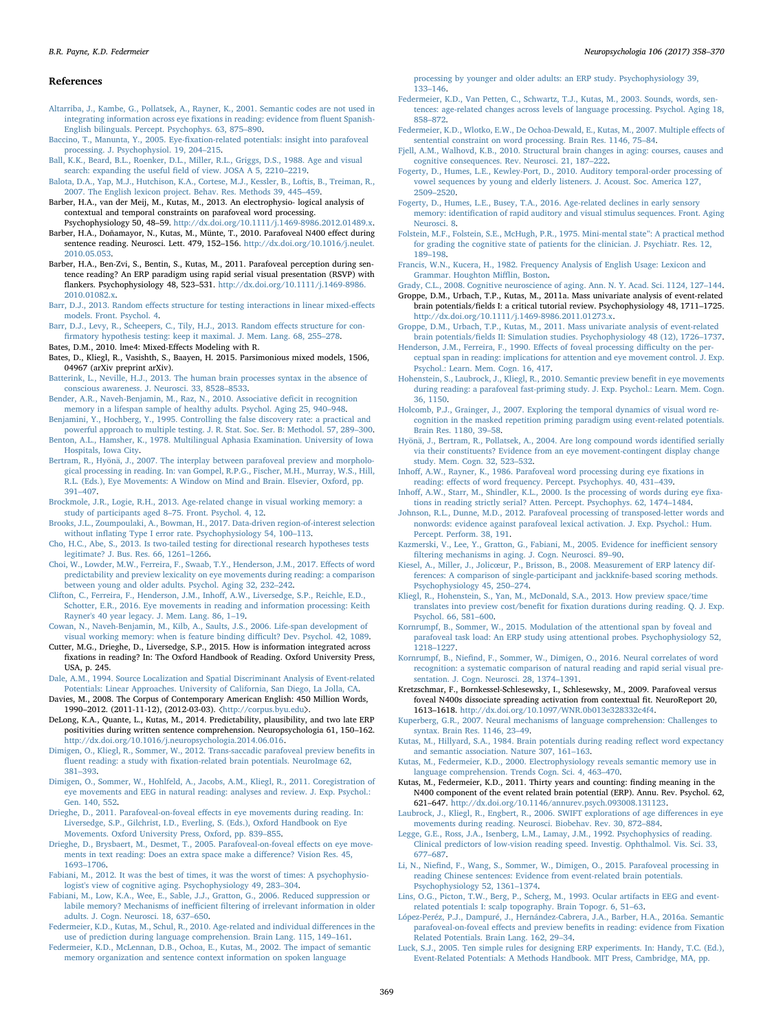### References

- <span id="page-11-6"></span>[Altarriba, J., Kambe, G., Pollatsek, A., Rayner, K., 2001. Semantic codes are not used in](http://refhub.elsevier.com/S0028-3932(17)30373-1/sbref1) [integrating information across eye](http://refhub.elsevier.com/S0028-3932(17)30373-1/sbref1) fixations in reading: evidence from fluent Spanish-[English bilinguals. Percept. Psychophys. 63, 875](http://refhub.elsevier.com/S0028-3932(17)30373-1/sbref1)–890.
- <span id="page-11-29"></span>Baccino, T., Manunta, Y., 2005. Eye-fi[xation-related potentials: insight into parafoveal](http://refhub.elsevier.com/S0028-3932(17)30373-1/sbref2) [processing. J. Psychophysiol. 19, 204](http://refhub.elsevier.com/S0028-3932(17)30373-1/sbref2)–215.
- <span id="page-11-14"></span>[Ball, K.K., Beard, B.L., Roenker, D.L., Miller, R.L., Griggs, D.S., 1988. Age and visual](http://refhub.elsevier.com/S0028-3932(17)30373-1/sbref3) search: expanding the useful fi[eld of view. JOSA A 5, 2210](http://refhub.elsevier.com/S0028-3932(17)30373-1/sbref3)–2219.
- <span id="page-11-35"></span>[Balota, D.A., Yap, M.J., Hutchison, K.A., Cortese, M.J., Kessler, B., Loftis, B., Treiman, R.,](http://refhub.elsevier.com/S0028-3932(17)30373-1/sbref4) [2007. The English lexicon project. Behav. Res. Methods 39, 445](http://refhub.elsevier.com/S0028-3932(17)30373-1/sbref4)–459.
- <span id="page-11-9"></span>Barber, H.A., van der Meij, M., Kutas, M., 2013. An electrophysio- logical analysis of contextual and temporal constraints on parafoveal word processing.

<span id="page-11-8"></span>Psychophysiology 50, 48–59. [http://dx.doi.org/10.1111/j.1469-8986.2012.01489.x.](http://dx.doi.org/10.1111/j.1469-8986.2012.01489.x) Barber, H.A., Doñamayor, N., Kutas, M., Münte, T., 2010. Parafoveal N400 effect during sentence reading. Neurosci. Lett. 479, 152-156. [http://dx.doi.org/10.1016/j.neulet.](http://dx.doi.org/10.1016/j.neulet.2010.05.053) [2010.05.053](http://dx.doi.org/10.1016/j.neulet.2010.05.053).

<span id="page-11-55"></span>Barber, H.A., Ben-Zvi, S., Bentin, S., Kutas, M., 2011. Parafoveal perception during sentence reading? An ERP paradigm using rapid serial visual presentation (RSVP) with flankers. Psychophysiology 48, 523–531. [http://dx.doi.org/10.1111/j.1469-8986.](http://dx.doi.org/10.1111/j.1469-8986.2010.01082.x) [2010.01082.x.](http://dx.doi.org/10.1111/j.1469-8986.2010.01082.x)

<span id="page-11-44"></span>Barr, D.J., 2013. Random eff[ects structure for testing interactions in linear mixed-e](http://refhub.elsevier.com/S0028-3932(17)30373-1/sbref8)ffects [models. Front. Psychol. 4.](http://refhub.elsevier.com/S0028-3932(17)30373-1/sbref8)

<span id="page-11-45"></span>[Barr, D.J., Levy, R., Scheepers, C., Tily, H.J., 2013. Random e](http://refhub.elsevier.com/S0028-3932(17)30373-1/sbref9)ffects structure for confi[rmatory hypothesis testing: keep it maximal. J. Mem. Lang. 68, 255](http://refhub.elsevier.com/S0028-3932(17)30373-1/sbref9)–278. Bates, D.M., 2010. lme4: Mixed-Effects Modeling with R.

- <span id="page-11-46"></span><span id="page-11-43"></span>Bates, D., Kliegl, R., Vasishth, S., Baayen, H. 2015. Parsimonious mixed models, 1506, 04967 (arXiv preprint arXiv).
- <span id="page-11-62"></span>[Batterink, L., Neville, H.J., 2013. The human brain processes syntax in the absence of](http://refhub.elsevier.com/S0028-3932(17)30373-1/sbref10) [conscious awareness. J. Neurosci. 33, 8528](http://refhub.elsevier.com/S0028-3932(17)30373-1/sbref10)–8533.
- <span id="page-11-60"></span>[Bender, A.R., Naveh-Benjamin, M., Raz, N., 2010. Associative de](http://refhub.elsevier.com/S0028-3932(17)30373-1/sbref11)ficit in recognition [memory in a lifespan sample of healthy adults. Psychol. Aging 25, 940](http://refhub.elsevier.com/S0028-3932(17)30373-1/sbref11)–948.
- <span id="page-11-53"></span>[Benjamini, Y., Hochberg, Y., 1995. Controlling the false discovery rate: a practical and](http://refhub.elsevier.com/S0028-3932(17)30373-1/sbref12) [powerful approach to multiple testing. J. R. Stat. Soc. Ser. B: Methodol. 57, 289](http://refhub.elsevier.com/S0028-3932(17)30373-1/sbref12)–300.
- <span id="page-11-32"></span>[Benton, A.L., Hamsher, K., 1978. Multilingual Aphasia Examination. University of Iowa](http://refhub.elsevier.com/S0028-3932(17)30373-1/sbref13) [Hospitals, Iowa City.](http://refhub.elsevier.com/S0028-3932(17)30373-1/sbref13)
- <span id="page-11-4"></span>[Bertram, R., Hyönä, J., 2007. The interplay between parafoveal preview and morpholo](http://refhub.elsevier.com/S0028-3932(17)30373-1/sbref14)[gical processing in reading. In: van Gompel, R.P.G., Fischer, M.H., Murray, W.S., Hill,](http://refhub.elsevier.com/S0028-3932(17)30373-1/sbref14) [R.L. \(Eds.\), Eye Movements: A Window on Mind and Brain. Elsevier, Oxford, pp.](http://refhub.elsevier.com/S0028-3932(17)30373-1/sbref14) 391–[407](http://refhub.elsevier.com/S0028-3932(17)30373-1/sbref14).
- <span id="page-11-57"></span>[Brockmole, J.R., Logie, R.H., 2013. Age-related change in visual working memory: a](http://refhub.elsevier.com/S0028-3932(17)30373-1/sbref15) [study of participants aged 8](http://refhub.elsevier.com/S0028-3932(17)30373-1/sbref15)–75. Front. Psychol. 4, 12.
- <span id="page-11-42"></span>[Brooks, J.L., Zoumpoulaki, A., Bowman, H., 2017. Data-driven region-of-interest selection](http://refhub.elsevier.com/S0028-3932(17)30373-1/sbref16) without infl[ating Type I error rate. Psychophysiology 54, 100](http://refhub.elsevier.com/S0028-3932(17)30373-1/sbref16)–113.
- <span id="page-11-52"></span>[Cho, H.C., Abe, S., 2013. Is two-tailed testing for directional research hypotheses tests](http://refhub.elsevier.com/S0028-3932(17)30373-1/sbref17) [legitimate? J. Bus. Res. 66, 1261](http://refhub.elsevier.com/S0028-3932(17)30373-1/sbref17)–1266.
- <span id="page-11-16"></span>[Choi, W., Lowder, M.W., Ferreira, F., Swaab, T.Y., Henderson, J.M., 2017. E](http://refhub.elsevier.com/S0028-3932(17)30373-1/sbref18)ffects of word [predictability and preview lexicality on eye movements during reading: a comparison](http://refhub.elsevier.com/S0028-3932(17)30373-1/sbref18) [between young and older adults. Psychol. Aging 32, 232](http://refhub.elsevier.com/S0028-3932(17)30373-1/sbref18)–242.

<span id="page-11-0"></span>[Clifton, C., Ferreira, F., Henderson, J.M., Inho](http://refhub.elsevier.com/S0028-3932(17)30373-1/sbref19)ff, A.W., Liversedge, S.P., Reichle, E.D., [Schotter, E.R., 2016. Eye movements in reading and information processing: Keith](http://refhub.elsevier.com/S0028-3932(17)30373-1/sbref19) [Rayner's 40 year legacy. J. Mem. Lang. 86, 1](http://refhub.elsevier.com/S0028-3932(17)30373-1/sbref19)–19.

<span id="page-11-24"></span>[Cowan, N., Naveh-Benjamin, M., Kilb, A., Saults, J.S., 2006. Life-span development of](http://refhub.elsevier.com/S0028-3932(17)30373-1/sbref20) [visual working memory: when is feature binding di](http://refhub.elsevier.com/S0028-3932(17)30373-1/sbref20)fficult? Dev. Psychol. 42, 1089.

<span id="page-11-21"></span>Cutter, M.G., Drieghe, D., Liversedge, S.P., 2015. How is information integrated across fixations in reading? In: The Oxford Handbook of Reading. Oxford University Press, USA, p. 245.

<span id="page-11-38"></span>[Dale, A.M., 1994. Source Localization and Spatial Discriminant Analysis of Event-related](http://refhub.elsevier.com/S0028-3932(17)30373-1/sbref21) [Potentials: Linear Approaches. University of California, San Diego, La Jolla, CA.](http://refhub.elsevier.com/S0028-3932(17)30373-1/sbref21)

<span id="page-11-36"></span>Davies, M., 2008. The Corpus of Contemporary American English: 450 Million Words, 1990–2012. (2011-11-12), (2012-03-03). 〈<http://corpus.byu.edu>〉.

<span id="page-11-40"></span>DeLong, K.A., Quante, L., Kutas, M., 2014. Predictability, plausibility, and two late ERP positivities during written sentence comprehension. Neuropsychologia 61, 150–162. [http://dx.doi.org/10.1016/j.neuropsychologia.2014.06.016.](http://dx.doi.org/10.1016/j.neuropsychologia.2014.06.016)

<span id="page-11-3"></span>[Dimigen, O., Kliegl, R., Sommer, W., 2012. Trans-saccadic parafoveal preview bene](http://refhub.elsevier.com/S0028-3932(17)30373-1/sbref23)fits in fluent reading: a study with fi[xation-related brain potentials. NeuroImage 62,](http://refhub.elsevier.com/S0028-3932(17)30373-1/sbref23) 381–[393](http://refhub.elsevier.com/S0028-3932(17)30373-1/sbref23).

[Dimigen, O., Sommer, W., Hohlfeld, A., Jacobs, A.M., Kliegl, R., 2011. Coregistration of](http://refhub.elsevier.com/S0028-3932(17)30373-1/sbref24) [eye movements and EEG in natural reading: analyses and review. J. Exp. Psychol.:](http://refhub.elsevier.com/S0028-3932(17)30373-1/sbref24) [Gen. 140, 552](http://refhub.elsevier.com/S0028-3932(17)30373-1/sbref24).

<span id="page-11-18"></span>Drieghe, D., 2011. Parafoveal-on-foveal eff[ects in eye movements during reading. In:](http://refhub.elsevier.com/S0028-3932(17)30373-1/sbref25) [Liversedge, S.P., Gilchrist, I.D., Everling, S. \(Eds.\), Oxford Handbook on Eye](http://refhub.elsevier.com/S0028-3932(17)30373-1/sbref25) [Movements. Oxford University Press, Oxford, pp. 839](http://refhub.elsevier.com/S0028-3932(17)30373-1/sbref25)–855.

<span id="page-11-19"></span>[Drieghe, D., Brysbaert, M., Desmet, T., 2005. Parafoveal-on-foveal e](http://refhub.elsevier.com/S0028-3932(17)30373-1/sbref26)ffects on eye move[ments in text reading: Does an extra space make a di](http://refhub.elsevier.com/S0028-3932(17)30373-1/sbref26)fference? Vision Res. 45, 1693–[1706](http://refhub.elsevier.com/S0028-3932(17)30373-1/sbref26).

<span id="page-11-11"></span>[Fabiani, M., 2012. It was the best of times, it was the worst of times: A psychophysio](http://refhub.elsevier.com/S0028-3932(17)30373-1/sbref27)[logist's view of cognitive aging. Psychophysiology 49, 283](http://refhub.elsevier.com/S0028-3932(17)30373-1/sbref27)–304.

<span id="page-11-61"></span>[Fabiani, M., Low, K.A., Wee, E., Sable, J.J., Gratton, G., 2006. Reduced suppression or](http://refhub.elsevier.com/S0028-3932(17)30373-1/sbref28) labile memory? Mechanisms of inefficient fi[ltering of irrelevant information in older](http://refhub.elsevier.com/S0028-3932(17)30373-1/sbref28) [adults. J. Cogn. Neurosci. 18, 637](http://refhub.elsevier.com/S0028-3932(17)30373-1/sbref28)–650.

<span id="page-11-17"></span>Federmeier, [K.D., Kutas, M., Schul, R., 2010. Age-related and individual di](http://refhub.elsevier.com/S0028-3932(17)30373-1/sbref29)fferences in the [use of prediction during language comprehension. Brain Lang. 115, 149](http://refhub.elsevier.com/S0028-3932(17)30373-1/sbref29)–161.

[Federmeier, K.D., McLennan, D.B., Ochoa, E., Kutas, M., 2002. The impact of semantic](http://refhub.elsevier.com/S0028-3932(17)30373-1/sbref30) [memory organization and sentence context information on spoken language](http://refhub.elsevier.com/S0028-3932(17)30373-1/sbref30)

[processing by younger and older adults: an ERP study. Psychophysiology 39,](http://refhub.elsevier.com/S0028-3932(17)30373-1/sbref30) 133–[146](http://refhub.elsevier.com/S0028-3932(17)30373-1/sbref30).

- <span id="page-11-39"></span>[Federmeier, K.D., Van Petten, C., Schwartz, T.J., Kutas, M., 2003. Sounds, words, sen](http://refhub.elsevier.com/S0028-3932(17)30373-1/sbref31)[tences: age-related changes across levels of language processing. Psychol. Aging 18,](http://refhub.elsevier.com/S0028-3932(17)30373-1/sbref31) 858–[872](http://refhub.elsevier.com/S0028-3932(17)30373-1/sbref31).
- <span id="page-11-33"></span>[Federmeier, K.D., Wlotko, E.W., De Ochoa-Dewald, E., Kutas, M., 2007. Multiple e](http://refhub.elsevier.com/S0028-3932(17)30373-1/sbref32)ffects of [sentential constraint on word processing. Brain Res. 1146, 75](http://refhub.elsevier.com/S0028-3932(17)30373-1/sbref32)–84.
- <span id="page-11-13"></span>[Fjell, A.M., Walhovd, K.B., 2010. Structural brain changes in aging: courses, causes and](http://refhub.elsevier.com/S0028-3932(17)30373-1/sbref33) [cognitive consequences. Rev. Neurosci. 21, 187](http://refhub.elsevier.com/S0028-3932(17)30373-1/sbref33)–222.
- <span id="page-11-58"></span>[Fogerty, D., Humes, L.E., Kewley-Port, D., 2010. Auditory temporal-order processing of](http://refhub.elsevier.com/S0028-3932(17)30373-1/sbref34) [vowel sequences by young and elderly listeners. J. Acoust. Soc. America 127,](http://refhub.elsevier.com/S0028-3932(17)30373-1/sbref34) 2509–[2520](http://refhub.elsevier.com/S0028-3932(17)30373-1/sbref34).

<span id="page-11-59"></span>[Fogerty, D., Humes, L.E., Busey, T.A., 2016. Age-related declines in early sensory](http://refhub.elsevier.com/S0028-3932(17)30373-1/sbref35) memory: identifi[cation of rapid auditory and visual stimulus sequences. Front. Aging](http://refhub.elsevier.com/S0028-3932(17)30373-1/sbref35) [Neurosci. 8.](http://refhub.elsevier.com/S0028-3932(17)30373-1/sbref35)

- <span id="page-11-31"></span>[Folstein, M.F., Folstein, S.E., McHugh, P.R., 1975. Mini-mental state](http://refhub.elsevier.com/S0028-3932(17)30373-1/sbref36)": A practical method [for grading the cognitive state of patients for the clinician. J. Psychiatr. Res. 12,](http://refhub.elsevier.com/S0028-3932(17)30373-1/sbref36) 189–[198](http://refhub.elsevier.com/S0028-3932(17)30373-1/sbref36).
- <span id="page-11-34"></span>[Francis, W.N., Kucera, H., 1982. Frequency Analysis of English Usage: Lexicon and](http://refhub.elsevier.com/S0028-3932(17)30373-1/sbref37) [Grammar. Houghton Mi](http://refhub.elsevier.com/S0028-3932(17)30373-1/sbref37)fflin, Boston.

<span id="page-11-12"></span>[Grady, C.L., 2008. Cognitive neuroscience of aging. Ann. N. Y. Acad. Sci. 1124, 127](http://refhub.elsevier.com/S0028-3932(17)30373-1/sbref38)–144.

- <span id="page-11-50"></span>Groppe, D.M., Urbach, T.P., Kutas, M., 2011a. Mass univariate analysis of event-related brain potentials/fields I: a critical tutorial review. Psychophysiology 48, 1711–1725. [http://dx.doi.org/10.1111/j.1469-8986.2011.01273.x.](http://dx.doi.org/10.1111/j.1469-8986.2011.01273.x)
- <span id="page-11-51"></span>[Groppe, D.M., Urbach, T.P., Kutas, M., 2011. Mass univariate analysis of event-related](http://refhub.elsevier.com/S0028-3932(17)30373-1/sbref40) brain potentials/fi[elds II: Simulation studies. Psychophysiology 48 \(12\), 1726](http://refhub.elsevier.com/S0028-3932(17)30373-1/sbref40)–1737.
- <span id="page-11-15"></span>[Henderson, J.M., Ferreira, F., 1990. E](http://refhub.elsevier.com/S0028-3932(17)30373-1/sbref41)ffects of foveal processing difficulty on the per[ceptual span in reading: implications for attention and eye movement control. J. Exp.](http://refhub.elsevier.com/S0028-3932(17)30373-1/sbref41) [Psychol.: Learn. Mem. Cogn. 16, 417.](http://refhub.elsevier.com/S0028-3932(17)30373-1/sbref41)
- <span id="page-11-7"></span>[Hohenstein, S., Laubrock, J., Kliegl, R., 2010. Semantic preview bene](http://refhub.elsevier.com/S0028-3932(17)30373-1/sbref42)fit in eye movements [during reading: a parafoveal fast-priming study. J. Exp. Psychol.: Learn. Mem. Cogn.](http://refhub.elsevier.com/S0028-3932(17)30373-1/sbref42) [36, 1150](http://refhub.elsevier.com/S0028-3932(17)30373-1/sbref42).
- <span id="page-11-54"></span>[Holcomb, P.J., Grainger, J., 2007. Exploring the temporal dynamics of visual word re](http://refhub.elsevier.com/S0028-3932(17)30373-1/sbref43)[cognition in the masked repetition priming paradigm using event-related potentials.](http://refhub.elsevier.com/S0028-3932(17)30373-1/sbref43) [Brain Res. 1180, 39](http://refhub.elsevier.com/S0028-3932(17)30373-1/sbref43)–58.
- <span id="page-11-1"></span>[Hyönä, J., Bertram, R., Pollatsek, A., 2004. Are long compound words identi](http://refhub.elsevier.com/S0028-3932(17)30373-1/sbref44)fied serially via [their constituents? Evidence from an eye movement-contingent display change](http://refhub.elsevier.com/S0028-3932(17)30373-1/sbref44) [study. Mem. Cogn. 32, 523](http://refhub.elsevier.com/S0028-3932(17)30373-1/sbref44)–532.
- <span id="page-11-5"></span>Inhoff[, A.W., Rayner, K., 1986. Parafoveal word processing during eye](http://refhub.elsevier.com/S0028-3932(17)30373-1/sbref45) fixations in reading: eff[ects of word frequency. Percept. Psychophys. 40, 431](http://refhub.elsevier.com/S0028-3932(17)30373-1/sbref45)–439.
- <span id="page-11-20"></span>Inhoff[, A.W., Starr, M., Shindler, K.L., 2000. Is the processing of words during eye](http://refhub.elsevier.com/S0028-3932(17)30373-1/sbref46) fixa[tions in reading strictly serial? Atten. Percept. Psychophys. 62, 1474](http://refhub.elsevier.com/S0028-3932(17)30373-1/sbref46)–1484.
- [Johnson, R.L., Dunne, M.D., 2012. Parafoveal processing of transposed-letter words and](http://refhub.elsevier.com/S0028-3932(17)30373-1/sbref47) [nonwords: evidence against parafoveal lexical activation. J. Exp. Psychol.: Hum.](http://refhub.elsevier.com/S0028-3932(17)30373-1/sbref47) [Percept. Perform. 38, 191](http://refhub.elsevier.com/S0028-3932(17)30373-1/sbref47).
- [Kazmerski, V., Lee, Y., Gratton, G., Fabiani, M., 2005. Evidence for ine](http://refhub.elsevier.com/S0028-3932(17)30373-1/sbref48)fficient sensory fi[ltering mechanisms in aging. J. Cogn. Neurosci. 89](http://refhub.elsevier.com/S0028-3932(17)30373-1/sbref48)–90.
- <span id="page-11-49"></span>Kiesel, A., Miller, J., Jolicœ[ur, P., Brisson, B., 2008. Measurement of ERP latency dif](http://refhub.elsevier.com/S0028-3932(17)30373-1/sbref49)[ferences: A comparison of single-participant and jackknife-based scoring methods.](http://refhub.elsevier.com/S0028-3932(17)30373-1/sbref49) [Psychophysiology 45, 250](http://refhub.elsevier.com/S0028-3932(17)30373-1/sbref49)–274.
- <span id="page-11-2"></span>[Kliegl, R., Hohenstein, S., Yan, M., McDonald, S.A., 2013. How preview space/time](http://refhub.elsevier.com/S0028-3932(17)30373-1/sbref50) translates into preview cost/benefit for fi[xation durations during reading. Q. J. Exp.](http://refhub.elsevier.com/S0028-3932(17)30373-1/sbref50) [Psychol. 66, 581](http://refhub.elsevier.com/S0028-3932(17)30373-1/sbref50)–600.
- <span id="page-11-28"></span>[Kornrumpf, B., Sommer, W., 2015. Modulation of the attentional span by foveal and](http://refhub.elsevier.com/S0028-3932(17)30373-1/sbref51) [parafoveal task load: An ERP study using attentional probes. Psychophysiology 52,](http://refhub.elsevier.com/S0028-3932(17)30373-1/sbref51) 1218–[1227](http://refhub.elsevier.com/S0028-3932(17)30373-1/sbref51).
- <span id="page-11-47"></span>Kornrumpf, B., Niefi[nd, F., Sommer, W., Dimigen, O., 2016. Neural correlates of word](http://refhub.elsevier.com/S0028-3932(17)30373-1/sbref52) [recognition: a systematic comparison of natural reading and rapid serial visual pre](http://refhub.elsevier.com/S0028-3932(17)30373-1/sbref52)[sentation. J. Cogn. Neurosci. 28, 1374](http://refhub.elsevier.com/S0028-3932(17)30373-1/sbref52)–1391.
- <span id="page-11-22"></span>Kretzschmar, F., Bornkessel-Schlesewsky, I., Schlesewsky, M., 2009. Parafoveal versus foveal N400s dissociate spreading activation from contextual fit. NeuroReport 20, 1613–1618. <http://dx.doi.org/10.1097/WNR.0b013e328332c4f4>.

<span id="page-11-41"></span>[Kuperberg, G.R., 2007. Neural mechanisms of language comprehension: Challenges to](http://refhub.elsevier.com/S0028-3932(17)30373-1/sbref54) [syntax. Brain Res. 1146, 23](http://refhub.elsevier.com/S0028-3932(17)30373-1/sbref54)–49.

<span id="page-11-27"></span>[Kutas, M., Hillyard, S.A., 1984. Brain potentials during reading re](http://refhub.elsevier.com/S0028-3932(17)30373-1/sbref55)flect word expectancy [and semantic association. Nature 307, 161](http://refhub.elsevier.com/S0028-3932(17)30373-1/sbref55)–163.

- <span id="page-11-26"></span>[Kutas, M., Federmeier, K.D., 2000. Electrophysiology reveals semantic memory use in](http://refhub.elsevier.com/S0028-3932(17)30373-1/sbref56) [language comprehension. Trends Cogn. Sci. 4, 463](http://refhub.elsevier.com/S0028-3932(17)30373-1/sbref56)–470.
- <span id="page-11-30"></span>Kutas, M., Federmeier, K.D., 2011. Thirty years and counting: finding meaning in the N400 component of the event related brain potential (ERP). Annu. Rev. Psychol. 62, 621–647. [http://dx.doi.org/10.1146/annurev.psych.093008.131123.](http://dx.doi.org/10.1146/annurev.psych.093008.131123)
- <span id="page-11-56"></span>Laubrock, [J., Kliegl, R., Engbert, R., 2006. SWIFT explorations of age di](http://refhub.elsevier.com/S0028-3932(17)30373-1/sbref58)fferences in eye [movements during reading. Neurosci. Biobehav. Rev. 30, 872](http://refhub.elsevier.com/S0028-3932(17)30373-1/sbref58)–884.
- <span id="page-11-10"></span>[Legge, G.E., Ross, J.A., Isenberg, L.M., Lamay, J.M., 1992. Psychophysics of reading.](http://refhub.elsevier.com/S0028-3932(17)30373-1/sbref59) [Clinical predictors of low-vision reading speed. Investig. Ophthalmol. Vis. Sci. 33,](http://refhub.elsevier.com/S0028-3932(17)30373-1/sbref59) 677–[687](http://refhub.elsevier.com/S0028-3932(17)30373-1/sbref59).
- <span id="page-11-23"></span>Li, N., Niefi[nd, F., Wang, S., Sommer, W., Dimigen, O., 2015. Parafoveal processing in](http://refhub.elsevier.com/S0028-3932(17)30373-1/sbref60) [reading Chinese sentences: Evidence from event-related brain potentials.](http://refhub.elsevier.com/S0028-3932(17)30373-1/sbref60) [Psychophysiology 52, 1361](http://refhub.elsevier.com/S0028-3932(17)30373-1/sbref60)–1374.
- <span id="page-11-37"></span>[Lins, O.G., Picton, T.W., Berg, P., Scherg, M., 1993. Ocular artifacts in EEG and event](http://refhub.elsevier.com/S0028-3932(17)30373-1/sbref61)[related potentials I: scalp topography. Brain Topogr. 6, 51](http://refhub.elsevier.com/S0028-3932(17)30373-1/sbref61)–63.
- <span id="page-11-25"></span>[López-Peréz, P.J., Dampuré, J., Hernández-Cabrera, J.A., Barber, H.A., 2016a. Semantic](http://refhub.elsevier.com/S0028-3932(17)30373-1/sbref62) parafoveal-on-foveal effects and preview benefi[ts in reading: evidence from Fixation](http://refhub.elsevier.com/S0028-3932(17)30373-1/sbref62) [Related Potentials. Brain Lang. 162, 29](http://refhub.elsevier.com/S0028-3932(17)30373-1/sbref62)–34.
- <span id="page-11-48"></span>[Luck, S.J., 2005. Ten simple rules for designing ERP experiments. In: Handy, T.C. \(Ed.\),](http://refhub.elsevier.com/S0028-3932(17)30373-1/sbref63) [Event-Related Potentials: A Methods Handbook. MIT Press, Cambridge, MA, pp.](http://refhub.elsevier.com/S0028-3932(17)30373-1/sbref63)